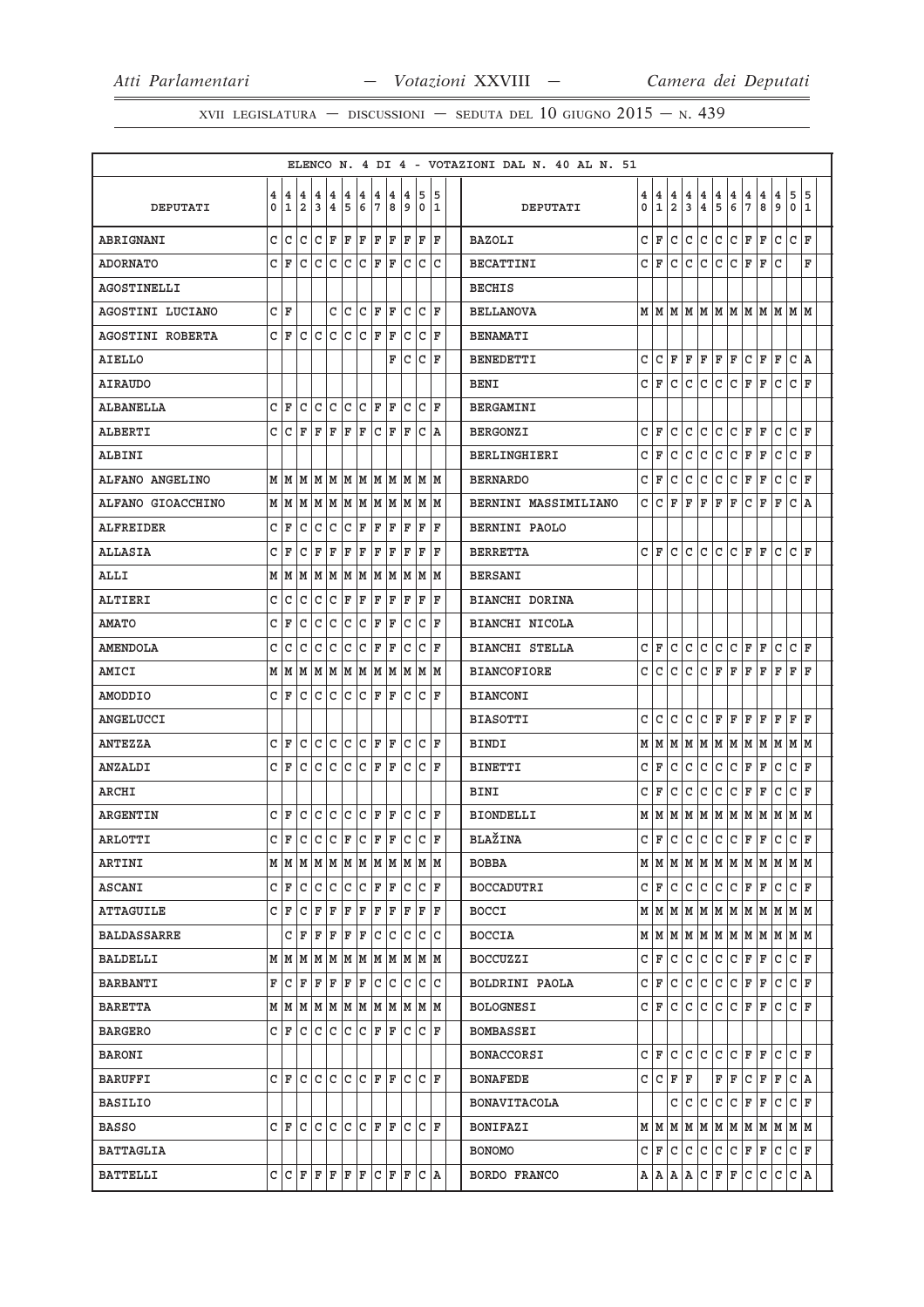|                    |                     |                   |                                                                       |              |                                                       |                            |        |        |                   |              |                                   |              |        | ELENCO N. 4 DI 4 - VOTAZIONI DAL N. 40 AL N. 51 |        |                   |                     |              |        |              |         |                   |        |                                                                 |                  |         |
|--------------------|---------------------|-------------------|-----------------------------------------------------------------------|--------------|-------------------------------------------------------|----------------------------|--------|--------|-------------------|--------------|-----------------------------------|--------------|--------|-------------------------------------------------|--------|-------------------|---------------------|--------------|--------|--------------|---------|-------------------|--------|-----------------------------------------------------------------|------------------|---------|
| DEPUTATI           | $\overline{4}$<br>0 | 4<br>$\mathbf{1}$ | $\overline{4}$<br>$\overline{\mathbf{2}}$                             | 4<br>3       | $\overline{4}$<br>4 <sup>1</sup>                      | 4<br>5                     | 4<br>6 | 4<br>7 | 4<br>8            | 4<br>9       | 5<br>$\overline{0}$               |              | 5<br>1 | DEPUTATI                                        | 4<br>0 | 4<br>$\mathbf{1}$ | 4<br>$\overline{2}$ | 4<br>3       | 4<br>4 | l 4<br>5     | 4<br>6  | 4<br>7            | 4<br>8 | 4<br>و ا                                                        | 5<br>$\mathbf 0$ | 5<br>11 |
| ABRIGNANI          |                     | c c               |                                                                       |              |                                                       |                            |        |        |                   |              | C C  C  F  F  F  F  F  F  F  F  F |              |        | <b>BAZOLI</b>                                   | C      | F                 | lc.                 | c            | c.     | c            | $ c $ F |                   | F      | Iс                                                              | c                | ΙF      |
| <b>ADORNATO</b>    |                     | C F               |                                                                       |              | $ c c c c c _F _F $                                   |                            |        |        |                   |              | c c c                             |              |        | <b>BECATTINI</b>                                |        | сlғ               | C                   | C            | lc.    | C            | lc.     | F                 | F      | lc                                                              |                  | F       |
| AGOSTINELLI        |                     |                   |                                                                       |              |                                                       |                            |        |        |                   |              |                                   |              |        | <b>BECHIS</b>                                   |        |                   |                     |              |        |              |         |                   |        |                                                                 |                  |         |
| AGOSTINI LUCIANO   |                     | CF                |                                                                       |              |                                                       |                            |        |        |                   |              | $C C C F F C C F$                 |              |        | <b>BELLANOVA</b>                                |        |                   |                     |              |        |              |         |                   |        |                                                                 |                  |         |
| AGOSTINI ROBERTA   |                     | C F               |                                                                       |              | $ c c c c c _F _F$                                    |                            |        |        |                   | C            |                                   | C F          |        | <b>BENAMATI</b>                                 |        |                   |                     |              |        |              |         |                   |        |                                                                 |                  |         |
| AIELLO             |                     |                   |                                                                       |              |                                                       |                            |        |        |                   |              | F C C F                           |              |        | <b>BENEDETTI</b>                                | C      | C                 | F                   | F            | F      | F            | F       | С                 | F      | l F                                                             | C A              |         |
| <b>AIRAUDO</b>     |                     |                   |                                                                       |              |                                                       |                            |        |        |                   |              |                                   |              |        | <b>BENI</b>                                     | C      | F                 | C                   | C            | C      | C            | lc.     | F                 | F      | C                                                               | C F              |         |
| ALBANELLA          |                     | C F               |                                                                       |              |                                                       |                            |        |        |                   |              |                                   |              |        | <b>BERGAMINI</b>                                |        |                   |                     |              |        |              |         |                   |        |                                                                 |                  |         |
| <b>ALBERTI</b>     |                     |                   | $C  C  F  F  F  F  F  C  F  F  C  A$                                  |              |                                                       |                            |        |        |                   |              |                                   |              |        | <b>BERGONZI</b>                                 | C      | ΙF                | C                   | C            | C      | C            | C       | ΙF                | F      | C                                                               | C F              |         |
| <b>ALBINI</b>      |                     |                   |                                                                       |              |                                                       |                            |        |        |                   |              |                                   |              |        | <b>BERLINGHIERI</b>                             | C      | ΙF                | C                   | C            | C      | C            | C       | F                 | F      | C                                                               | C                | ΙF      |
| ALFANO ANGELINO    |                     |                   | $M$   $M$   $M$   $M$   $M$   $M$   $M$   $M$   $M$   $M$   $M$   $M$ |              |                                                       |                            |        |        |                   |              |                                   |              |        | <b>BERNARDO</b>                                 | C      | F                 | l c                 | $\mathsf{C}$ | lc.    | lc.          | c       | F                 | F      | C                                                               | C F              |         |
| ALFANO GIOACCHINO  |                     | MM                |                                                                       |              |                                                       |                            |        |        |                   |              | M   M   M   M   M   M   M   M   M |              |        | BERNINI MASSIMILIANO                            | c      | С                 | F                   | F            | F      | F            | F       | C                 | F      | F                                                               | CA               |         |
| <b>ALFREIDER</b>   |                     | C F               | С                                                                     |              |                                                       |                            |        |        |                   |              | C  C  C  F  F  F  F  F  F         |              |        | <b>BERNINI PAOLO</b>                            |        |                   |                     |              |        |              |         |                   |        |                                                                 |                  |         |
| ALLASIA            |                     | C F               | с                                                                     | ΙF           |                                                       |                            |        |        | F   F   F   F   F |              | F                                 |              | ΙF     | <b>BERRETTA</b>                                 | c      | ΙF                | C                   | C            | C      | C            | lc.     | ΙF                | F      | lc.                                                             | C F              |         |
| ALLI               |                     |                   | $M$   $M$   $M$   $M$   $M$   $M$   $M$   $M$   $M$   $M$   $M$   $M$ |              |                                                       |                            |        |        |                   |              |                                   |              |        | <b>BERSANI</b>                                  |        |                   |                     |              |        |              |         |                   |        |                                                                 |                  |         |
| <b>ALTIERI</b>     | C.                  | С                 |                                                                       |              |                                                       |                            |        |        |                   |              | $C C C C F F F F F F F F$         |              | F      | BIANCHI DORINA                                  |        |                   |                     |              |        |              |         |                   |        |                                                                 |                  |         |
| <b>AMATO</b>       |                     | CF                | $\mathsf C$                                                           | $\mathsf{C}$ | c                                                     | $\overline{\mathsf{IC}}$ ) |        |        | C F F             | С            |                                   | C F          |        | <b>BIANCHI NICOLA</b>                           |        |                   |                     |              |        |              |         |                   |        |                                                                 |                  |         |
| <b>AMENDOLA</b>    |                     | C C               |                                                                       |              | $C  C  C  C  C  F  F  F $                             |                            |        |        |                   | c            |                                   | CF           |        | <b>BIANCHI STELLA</b>                           | C      | F                 | C                   | C            | lc.    | l c          | lc.     | ΙF                | F      | lc.                                                             | $ {\tt C}\, $ F  |         |
| AMICI              |                     | MM                |                                                                       |              |                                                       |                            |        |        |                   |              | M  M  M  M  M  M  M  M  M  M      |              |        | <b>BIANCOFIORE</b>                              | C      | C                 | C                   | C            | C      | F            | F       | F                 | F      | F                                                               | F                | ΙF      |
| AMODDIO            |                     |                   | C  F  C  C  C  C  C  F  F  C  C  F                                    |              |                                                       |                            |        |        |                   |              |                                   |              |        | <b>BIANCONI</b>                                 |        |                   |                     |              |        |              |         |                   |        |                                                                 |                  |         |
| ANGELUCCI          |                     |                   |                                                                       |              |                                                       |                            |        |        |                   |              |                                   |              |        | <b>BIASOTTI</b>                                 | C      | C                 | C                   | C            | C      | ΙF           | F       | lF.               | ΙF     | F                                                               | $\mathbf F$      | ١F      |
| <b>ANTEZZA</b>     |                     | C F               |                                                                       |              |                                                       |                            |        |        |                   |              | C C C C F F C C F                 |              |        | BINDI                                           | M M    |                   |                     |              |        |              |         |                   |        | м м м м м м м м м м                                             |                  |         |
| ANZALDI            |                     |                   | C F C C C C F F C C F                                                 |              |                                                       |                            |        |        |                   |              |                                   |              |        | <b>BINETTI</b>                                  | C      | F                 | lc.                 | lc.          | lc.    | lc.          | lc.     | F                 | F      | l c                                                             | C F              |         |
| ARCHI              |                     |                   |                                                                       |              |                                                       |                            |        |        |                   |              |                                   |              |        | <b>BINI</b>                                     | C      | ΙF                | C                   | C            | C      | C            | lc.     | F                 | ΙF     | C                                                               | C F              |         |
| <b>ARGENTIN</b>    |                     | CF                |                                                                       |              |                                                       |                            |        |        |                   |              | c c c c F F c c F                 |              |        | <b>BIONDELLI</b>                                |        |                   |                     |              |        |              |         |                   |        |                                                                 |                  |         |
| ARLOTTI            |                     |                   | $C F C C F C F F F C C F F$                                           |              |                                                       |                            |        |        |                   |              |                                   |              |        | <b>BLAŽINA</b>                                  | C F    |                   |                     |              |        |              |         | $ c c c c r _F c$ |        |                                                                 | lc IF            |         |
| ARTINI             |                     |                   | $M$   $M$   $M$   $M$   $M$   $M$   $M$   $M$   $M$   $M$   $M$   $M$ |              |                                                       |                            |        |        |                   |              |                                   |              |        | <b>BOBBA</b>                                    |        |                   |                     |              |        |              |         |                   |        | $M$   $M$   $M$   $M$   $M$   $M$   $M$   $M$   $M$   $M$   $M$ |                  |         |
| ASCANI             |                     | C F               | C                                                                     |              | $ {\tt C}\, {\tt C}\, {\tt C}\, {\tt F}\, {\tt F}\, $ |                            |        |        |                   | c            | $\mathsf{C}$                      |              | F      | BOCCADUTRI                                      | C      | F                 | С                   | $\mathtt{C}$ | c      | c            | c       | F                 | F      | C                                                               | C F              |         |
| <b>ATTAGUILE</b>   |                     | $C \vert F \vert$ | c                                                                     |              |                                                       |                            |        |        |                   |              | F   F   F   F   F   F   F   F     |              |        | BOCCI                                           |        | MM                |                     |              | MMMM   |              |         | M M M             |        |                                                                 | M  M             |         |
| <b>BALDASSARRE</b> |                     |                   | $C  F F F F F C C $                                                   |              |                                                       |                            |        |        |                   | c            |                                   | $\mathsf{C}$ | C      | <b>BOCCIA</b>                                   |        |                   |                     |              |        |              |         |                   |        |                                                                 |                  |         |
| BALDELLI           |                     |                   | MMMMMMMMMMMMM                                                         |              |                                                       |                            |        |        |                   |              |                                   |              |        | BOCCUZZI                                        | C      | ΙF                | C                   | C            | C      | C            | lc.     | F                 | F      | C                                                               | C F              |         |
| BARBANTI           |                     |                   |                                                                       |              |                                                       |                            |        |        |                   |              |                                   |              |        | BOLDRINI PAOLA                                  |        | C∣F               | C                   | l C          | lc.    | lc.          | C F     |                   | F      | lc.                                                             | $ c _F$          |         |
| BARETTA            |                     |                   | $M$   $M$   $M$   $M$   $M$   $M$   $M$   $M$   $M$   $M$   $M$   $M$ |              |                                                       |                            |        |        |                   |              |                                   |              |        | <b>BOLOGNESI</b>                                |        | CIF               | C                   | С            | C      | C            | lc.     | ΙF                | F      | С                                                               | C F              |         |
| BARGERO            |                     | СF                |                                                                       |              | C  C  C  C  C  F  F                                   |                            |        |        |                   | $\mathsf{C}$ |                                   | C F          |        | <b>BOMBASSEI</b>                                |        |                   |                     |              |        |              |         |                   |        |                                                                 |                  |         |
| <b>BARONI</b>      |                     |                   |                                                                       |              |                                                       |                            |        |        |                   |              |                                   |              |        | <b>BONACCORSI</b>                               | C      | F                 | C                   | C            | C      | $\mathsf{C}$ | C       | F                 | F      | C                                                               | C                | ١F      |
| BARUFFI            |                     | CF                | $\mathsf{C}$                                                          |              | $C  C  C  C  F  F $                                   |                            |        |        |                   | $\mathsf{C}$ |                                   | CF           |        | <b>BONAFEDE</b>                                 | c      | lc.               | F                   | ΙF           |        | F            | F       | C                 | F      | ΙF                                                              | CA               |         |
| <b>BASILIO</b>     |                     |                   |                                                                       |              |                                                       |                            |        |        |                   |              |                                   |              |        | <b>BONAVITACOLA</b>                             |        |                   | c                   | C            | lc.    | C            | l C     | F                 | F      | C                                                               | C F              |         |
| BASSO              |                     | CF                |                                                                       |              | c c c c c f F                                         |                            |        |        |                   | C            |                                   | CF           |        | <b>BONIFAZI</b>                                 |        | MM                |                     | MM           |        |              |         | MMMMMMM           |        |                                                                 | M M              |         |
| BATTAGLIA          |                     |                   |                                                                       |              |                                                       |                            |        |        |                   |              |                                   |              |        | <b>BONOMO</b>                                   |        | C∣F               | c c                 |              | l C    | c            | c       | F                 | F      | C                                                               | $ {\tt C}\, $ F  |         |
| BATTELLI           |                     |                   | $C  C F F F F F C F F C A$                                            |              |                                                       |                            |        |        |                   |              |                                   |              |        | BORDO FRANCO                                    |        | A   A   A   A     |                     |              | C.     | F            | F       | С                 | C      | C                                                               | C   A            |         |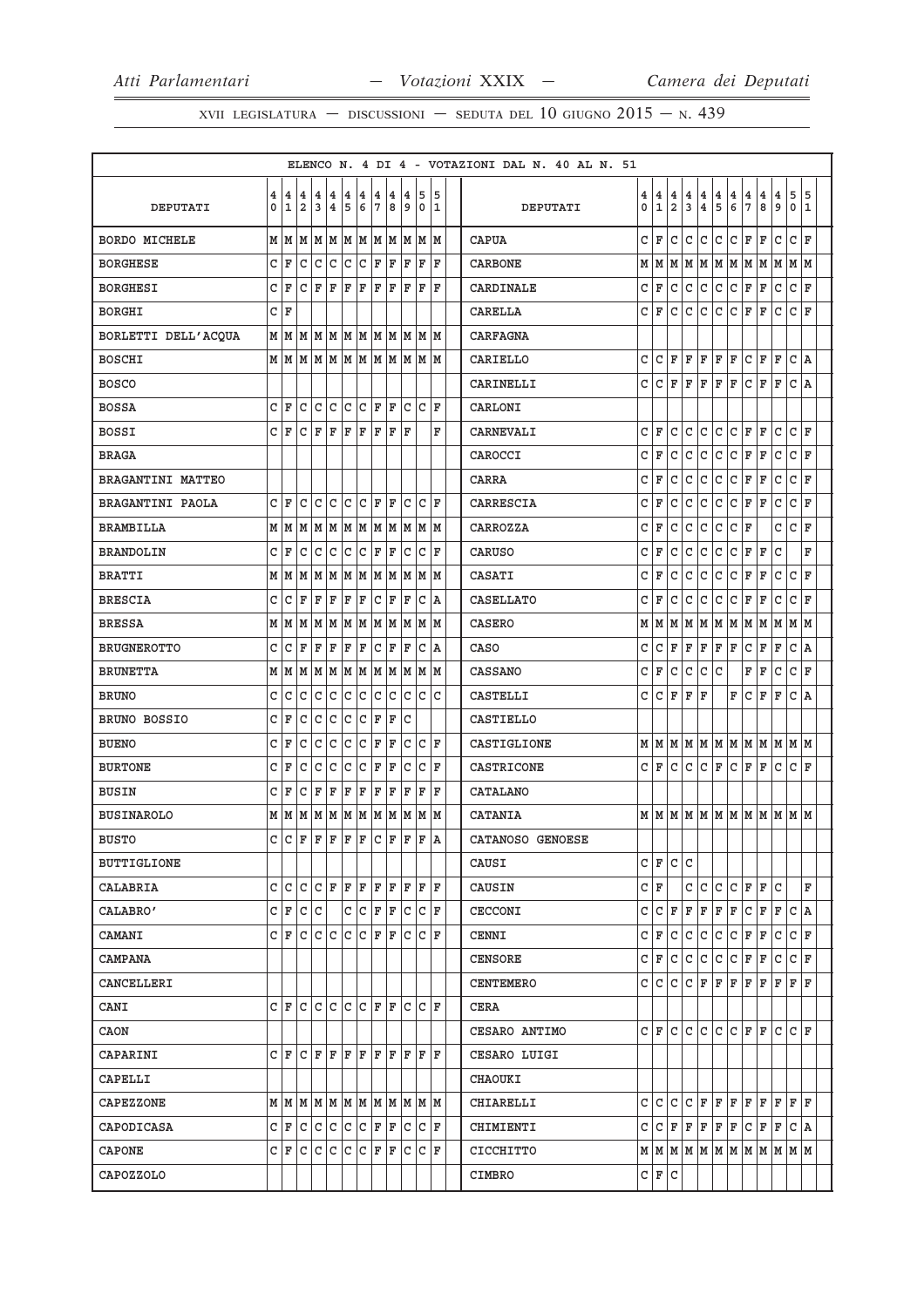|                      |   |              |                |     |                         |     |     |                 |     |     |                           |         |  | ELENCO N. 4 DI 4 - VOTAZIONI DAL N. 40 AL N. 51 |     |              |               |               |                 |               |               |                |             |                                   |              |              |
|----------------------|---|--------------|----------------|-----|-------------------------|-----|-----|-----------------|-----|-----|---------------------------|---------|--|-------------------------------------------------|-----|--------------|---------------|---------------|-----------------|---------------|---------------|----------------|-------------|-----------------------------------|--------------|--------------|
|                      | 4 | 4            | 4              | 4   | 4                       | 4   | 4   | 4               | 4   | 4   | 5                         | 5       |  |                                                 | 4   | 4            | $\frac{4}{2}$ | $\frac{4}{3}$ | $\frac{4}{4}$   | $\frac{4}{5}$ | $\frac{4}{6}$ | 4              | 4           | 4                                 | 5            | 5            |
| <b>DEPUTATI</b>      | 0 | $\mathbf{1}$ | $\overline{a}$ | 3   | $\overline{\mathbf{4}}$ | 5   | 6   | $7\phantom{.0}$ | 8   | 9   | $\mathbf 0$               | 1       |  | DEPUTATI                                        | 0   | $\mathbf{1}$ |               |               |                 |               |               | $\overline{7}$ | 8           | 9                                 | $\mathbf{0}$ | $\mathbf{1}$ |
| <b>BORDO MICHELE</b> | M | M            | M              | MM  |                         |     | M M |                 | MM  |     | M  M  M                   |         |  | <b>CAPUA</b>                                    | c   | ΙF           | C             | C             | C               | C             | c.            | F              | F           | $\mathtt{C}$                      | C F          |              |
| <b>BORGHESE</b>      | C | F            | C              | c   | c                       | c   | c   | F               | F   | ΙF  | F                         | ΙF      |  | <b>CARBONE</b>                                  | М   | M            |               |               |                 |               |               |                |             | M   M   M   M   M   M   M   M   M |              |              |
| <b>BORGHESI</b>      | C | ΙF           | C              | ΙF  | F                       | F   | F   | F               | F   | F   | F                         | F       |  | CARDINALE                                       | C   | $\mathbf F$  | С             | $\mathtt{C}$  | $\mathtt{C}$    | C             | c.            | F              | F           | C                                 | c            | ΙF           |
| <b>BORGHI</b>        | C | ΙF           |                |     |                         |     |     |                 |     |     |                           |         |  | <b>CARELLA</b>                                  | c   | F            | $\mathtt{C}$  | $\mathtt{C}$  | C               | c             | lc.           | F              | F           | $\mathtt{C}$                      | C F          |              |
| BORLETTI DELL'ACQUA  | M | M            | M              | M   | lм                      | M   | lм  | lм              | M   | M   |                           | M  M    |  | <b>CARFAGNA</b>                                 |     |              |               |               |                 |               |               |                |             |                                   |              |              |
| <b>BOSCHI</b>        | М |              | MM             |     |                         |     |     |                 |     |     | M  M  M  M  M  M  M  M  M |         |  | CARIELLO                                        | c   | c            | F             | F             | F               | F F           |               | C F            |             | F                                 | C A          |              |
| <b>BOSCO</b>         |   |              |                |     |                         |     |     |                 |     |     |                           |         |  | CARINELLI                                       | c   | c            | F             | F             | F               | F             | ΙF            | C              | F           | F                                 | C A          |              |
| <b>BOSSA</b>         | C | F            | $\mathbf C$    | c   | c                       | C   | c   | l F             | l F | C   | lc.                       | l F     |  | CARLONI                                         |     |              |               |               |                 |               |               |                |             |                                   |              |              |
| <b>BOSSI</b>         | C | ΙF           | C              | F   | F                       | F   | ΙF  | ΙF              | F   | ΙF  |                           | F       |  | CARNEVALI                                       | C   | F            | C             | $\mathtt{C}$  | $\mathtt{C}$    | C             | c             | $\mathbf F$    | $\mathbf F$ | C                                 | c            | ΙF           |
| <b>BRAGA</b>         |   |              |                |     |                         |     |     |                 |     |     |                           |         |  | CAROCCI                                         | C   | $\mathbf F$  | С             | $\mathtt{C}$  | C               | C             | c             | $\mathbf F$    | F           | C                                 | c            | ΙF           |
| BRAGANTINI MATTEO    |   |              |                |     |                         |     |     |                 |     |     |                           |         |  | CARRA                                           | C   | F            | $\mathtt{C}$  | $\mathtt{C}$  | $\mathtt{C}$    | C             | c.            | F              | F           | C                                 | C F          |              |
| BRAGANTINI PAOLA     | C | ΙF           | C              | C   | lc.                     | С   | c   | F               | F   | C   | C                         | ΙF      |  | CARRESCIA                                       | C   | F            | С             | С             | C               | С             | С             | F              | F           | C                                 | c            | ΙF           |
| <b>BRAMBILLA</b>     | M | M            | M              | M   | M                       | M   | M   | M               | M   | M   | M                         | M       |  | CARROZZA                                        | c   | F            | С             | С             | C               | С             | C             | ΙF             |             | C                                 | C F          |              |
| <b>BRANDOLIN</b>     | C | ΙF           | C              | C   | C                       | C   | C   | F               | F   | C   | C                         | ΙF      |  | <b>CARUSO</b>                                   | C   | F            | С             | $\mathtt{C}$  | $\mathtt{C}$    | C             | C             | $\mathbf F$    | ΙF          | C                                 |              | F            |
| <b>BRATTI</b>        | M | M            | M              | M   | M                       | M   | M   | M               | M   | M   | M                         | M       |  | CASATI                                          | C   | F            | $\mathtt{C}$  | C             | С               | $\mathtt{C}$  | $\mathtt{C}$  | F              | F           | C                                 | c            | F            |
| <b>BRESCIA</b>       | C | С            | F              | F   | $\mathbf F$             | F   | F   | C               | F   | ΙF  | С                         | A       |  | <b>CASELLATO</b>                                | C   | F            | С             | С             | С               | c             | С             | F              | F           | C                                 | c            | ΙF           |
| <b>BRESSA</b>        | М | M            | M              | M   | M                       | M   | M   | M               | M   | M   | M                         | M       |  | <b>CASERO</b>                                   | М   | M            | М             | M             | M               | MM            |               | М              | М           | М                                 | MM           |              |
| <b>BRUGNEROTTO</b>   | C | $\mathtt{C}$ | F              | F   | F                       | F   | F   | $\mathtt{C}$    | F   | F   | C                         | ١A      |  | CASO                                            | C   | $\mathtt{C}$ | F             | F             | F               | F F           |               | C              | F           | $\mathbf F$                       | $C \vert A$  |              |
| <b>BRUNETTA</b>      | М | M            | M              | M   | M                       | M   | M   | M               | M   | M   | M                         | M       |  | <b>CASSANO</b>                                  | C   | F            | С             | C             | С               | C             |               | F              | F           | C                                 | C F          |              |
| <b>BRUNO</b>         | C | C            | C              | l C | l c                     | C   | c   | C               | l C | C   | C                         | C       |  | CASTELLI                                        | c   | C            | F             | F             | ΙF              |               | F             | С              | F           | F                                 | C A          |              |
| BRUNO BOSSIO         | C | ΙF           | C              | C   | C                       | C   | c   | F               | F   | C   |                           |         |  | <b>CASTIELLO</b>                                |     |              |               |               |                 |               |               |                |             |                                   |              |              |
| <b>BUENO</b>         | C | ΙF           | C              | C   | C                       | C   | C   | F               | F   | C   | lc.                       | F       |  | CASTIGLIONE                                     |     | MM           | M             |               | M M M M         |               |               | M M            |             | M                                 | M M          |              |
| <b>BURTONE</b>       | C | F            | C              | С   | C                       | С   | C   | F               | F   | C   | С                         | ΙF      |  | CASTRICONE                                      | C F |              | C             | $\mathsf{C}$  | lc.             | F C           |               | F F            |             | C                                 | C F          |              |
| <b>BUSIN</b>         | C | ΙF           | C              | ΙF  | F                       | F   | F   | F               | F   | F   | F                         | F       |  | <b>CATALANO</b>                                 |     |              |               |               |                 |               |               |                |             |                                   |              |              |
| <b>BUSINAROLO</b>    | М | M            | M              | M   | M                       | M   | M   | M               | M   | M   |                           | M  M    |  | CATANIA                                         |     |              |               |               |                 |               |               |                |             | м м м м м м м м м м м             |              |              |
| <b>BUSTO</b>         | C | lc.          | ΙF             | F   | ΙF                      | F   | F   | c               | F   | ΙF  | F                         | ١A      |  | CATANOSO GENOESE                                |     |              |               |               |                 |               |               |                |             |                                   |              |              |
| <b>BUTTIGLIONE</b>   |   |              |                |     |                         |     |     |                 |     |     |                           |         |  | CAUSI                                           |     | C F          | C C           |               |                 |               |               |                |             |                                   |              |              |
| CALABRIA             | C | C            | C              | C   | ΙF                      | F   | F   | ΙF              | F   | F   | F                         | l F     |  | CAUSIN                                          | C F |              |               | c             | C               | $\mathsf{C}$  | lc.           | F F            |             | C                                 |              | F            |
| CALABRO'             | C | lF.          | C              | C   |                         | C   | lc. | F               | ΙF  | C   | C                         | ΙF      |  | <b>CECCONI</b>                                  | c   | C            | F             | F             | F               | F             | F             | c              | F           | F                                 | C A          |              |
| CAMANI               | C | ΙF.          | lc.            | c c |                         | lc. | lc. | F               | lF. | C   |                           | IC IF   |  | CENNI                                           |     | C F          | c             | C             | c.              | c c           |               | F   F          |             | c                                 | C F          |              |
| CAMPANA              |   |              |                |     |                         |     |     |                 |     |     |                           |         |  | CENSORE                                         |     | C F          | с             | $\mathtt{C}$  | С               | c             | lc.           | F F            |             | С                                 | CF           |              |
| CANCELLERI           |   |              |                |     |                         |     |     |                 |     |     |                           |         |  | <b>CENTEMERO</b>                                |     | c   c        | lC.           |               | C F             |               |               | F F F F        |             | F                                 | F  F         |              |
| CANI                 | C | lF.          | l C            | C   | C                       | C   | l C | ΙF              | F   | C   | C                         | ΙF      |  | CERA                                            |     |              |               |               |                 |               |               |                |             |                                   |              |              |
| CAON                 |   |              |                |     |                         |     |     |                 |     |     |                           |         |  | CESARO ANTIMO                                   |     | CF           |               |               | C C C C F F     |               |               |                |             | lc.                               | C   F        |              |
| CAPARINI             | C | l F          | C              | F   | ΙF                      | F   | l F | l F             | F   | l F | F                         | ΙF      |  | CESARO LUIGI                                    |     |              |               |               |                 |               |               |                |             |                                   |              |              |
| CAPELLI              |   |              |                |     |                         |     |     |                 |     |     |                           |         |  | CHAOUKI                                         |     |              |               |               |                 |               |               |                |             |                                   |              |              |
| CAPEZZONE            |   |              |                |     |                         |     |     |                 |     |     |                           |         |  | CHIARELLI                                       |     | c   c        | C             |               |                 |               |               |                |             | $C F F F F F F F F F$             |              |              |
| CAPODICASA           | C | ΙF           | C              | С   | C                       | C   | С   | F               | F   | C   | C                         | l F     |  | CHIMIENTI                                       |     |              |               |               | C C F F F F F F |               |               |                | C F         | F                                 | C   A        |              |
| CAPONE               | C | F            | l C            | lc. | C                       | lc. | lc. | F               | F   | С   |                           | $ C $ F |  | CICCHITTO                                       |     |              |               |               |                 |               |               |                |             |                                   |              |              |
| CAPOZZOLO            |   |              |                |     |                         |     |     |                 |     |     |                           |         |  | CIMBRO                                          |     | C F C        |               |               |                 |               |               |                |             |                                   |              |              |
|                      |   |              |                |     |                         |     |     |                 |     |     |                           |         |  |                                                 |     |              |               |               |                 |               |               |                |             |                                   |              |              |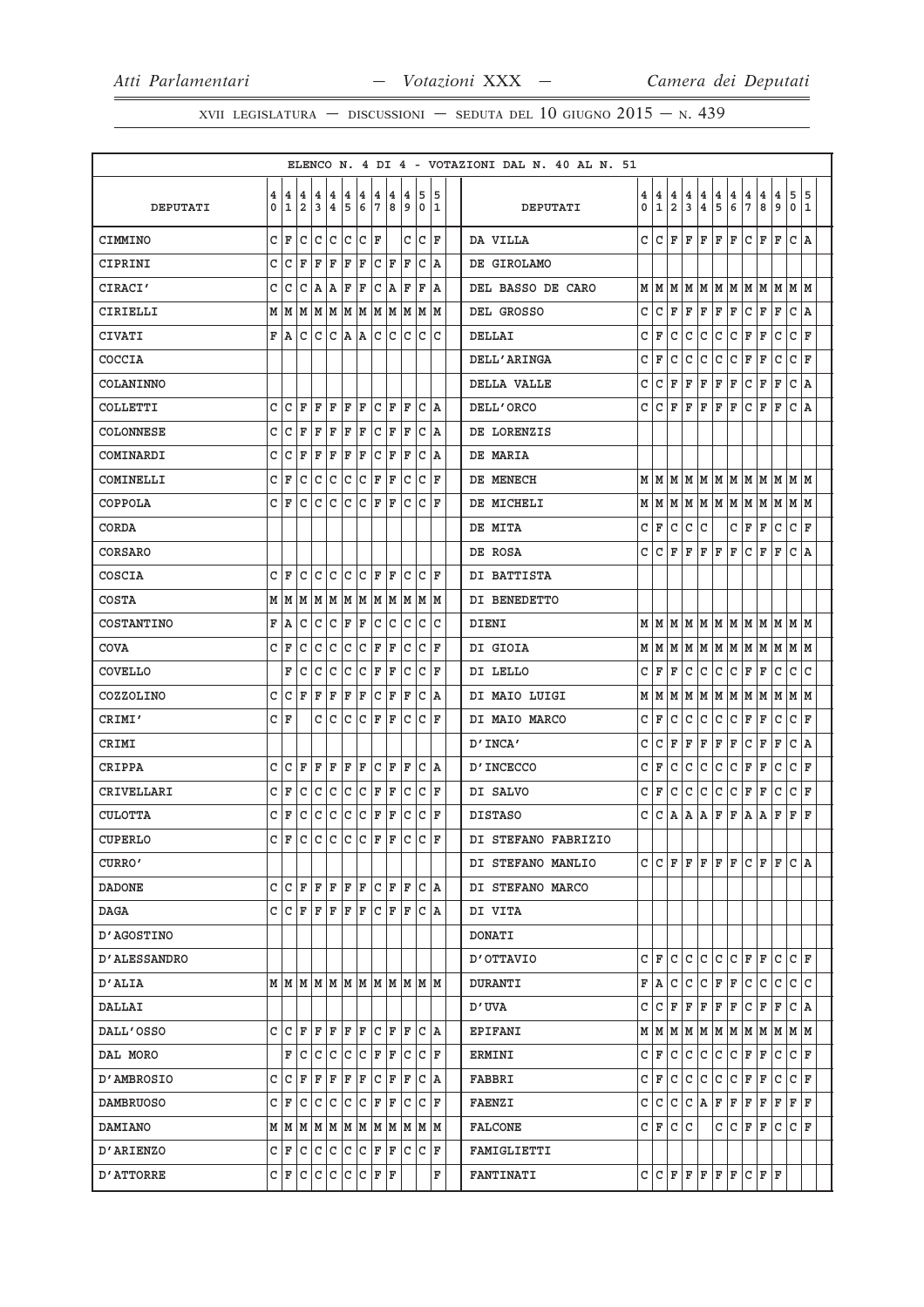|                   |              |     |                                   |                         |                                                                 |       |         |              |               |              |                                                                       |             |    | ELENCO N. 4 DI 4 - VOTAZIONI DAL N. 40 AL N. 51 |   |              |                |     |                |              |                   |     |     |     |                                   |     |
|-------------------|--------------|-----|-----------------------------------|-------------------------|-----------------------------------------------------------------|-------|---------|--------------|---------------|--------------|-----------------------------------------------------------------------|-------------|----|-------------------------------------------------|---|--------------|----------------|-----|----------------|--------------|-------------------|-----|-----|-----|-----------------------------------|-----|
|                   | 4            | 4   | 4                                 | 4                       | 4                                                               | 4     | 4       | 4            | 4             | 4            | 5                                                                     |             | 5  |                                                 | 4 | 4            | 4              | 4   | 4              | 4            | 4                 | 4   | 4   | 4   | 5                                 | 5   |
| DEPUTATI          | 0            | 1   | $\overline{a}$                    | 3                       | 4                                                               | 5     | 6       | 7            | 8             | 9            | $\overline{0}$                                                        |             | 1  | DEPUTATI                                        | 0 | $\mathbf{1}$ | $\overline{2}$ | 3   | $\overline{4}$ | 5            | 6                 | 7   | 8   | و ا | $\mathbf 0$                       | 11  |
| CIMMINO           |              | CF  | c                                 |                         | C C C C F                                                       |       |         |              |               |              | C C F                                                                 |             |    | DA VILLA                                        | C | l C          | F              | ΙF  | F              | l F          | F                 | lc. | F   | ΙF  | C A                               |     |
| CIPRINI           | C.           | С   | F                                 |                         | F F F F                                                         |       |         |              | C F F         |              |                                                                       | C A         |    | DE GIROLAMO                                     |   |              |                |     |                |              |                   |     |     |     |                                   |     |
| CIRACI'           | C            | C   |                                   | C A                     | A   F                                                           |       | F       |              | C A           | F            | F                                                                     |             | ١A | DEL BASSO DE CARO                               |   | MIM          | M              | lМ  |                |              | M   M   M   M   M |     |     |     | MM                                |     |
| CIRIELLI          |              |     |                                   |                         |                                                                 |       |         |              |               |              | $M$   $M$   $M$   $M$   $M$   $M$   $M$   $M$   $M$   $M$   $M$   $M$ |             |    | DEL GROSSO                                      | C | C            | F              | ΙF  | F              | F            | F                 | C   | F   | F   | C A                               |     |
| CIVATI            |              | F A |                                   | C C                     |                                                                 |       | C A A   |              | c c           | C            | $\mathsf{C}$                                                          |             | C  | DELLAI                                          | C | F            | C              | C   | C              | C            | С                 | F   | F   | C   | C                                 | ΙF  |
| COCCIA            |              |     |                                   |                         |                                                                 |       |         |              |               |              |                                                                       |             |    | DELL'ARINGA                                     | С | F            | с              | c   | C              | C            | С                 | F   | F   | C   | С                                 | ΙF  |
| COLANINNO         |              |     |                                   |                         |                                                                 |       |         |              |               |              |                                                                       |             |    | DELLA VALLE                                     | C | C            | F              | F   | F              | F            | F                 | C   | F   | ΙF  | $\mathtt{C}$                      | ١A  |
| COLLETTI          | $\mathsf{C}$ | C   | ΙF                                |                         | F   F                                                           | F F   |         |              | $C$ $ F $ $F$ |              |                                                                       | C A         |    | DELL'ORCO                                       | C | c            | F              | F   | F              | F            | F                 | C   | F   | ΙF  | C A                               |     |
| COLONNESE         | C.           | С   | F                                 | F                       | ΙF                                                              |       | F F     |              | C F F         |              |                                                                       | C A         |    | DE LORENZIS                                     |   |              |                |     |                |              |                   |     |     |     |                                   |     |
| COMINARDI         | C            | С   | F                                 | F                       | F                                                               | F     | F       | C            | F             | F            | C                                                                     |             | ١A | DE MARIA                                        |   |              |                |     |                |              |                   |     |     |     |                                   |     |
| COMINELLI         |              | C F | c                                 |                         | C C C F F                                                       |       |         |              |               | $\mathsf{C}$ |                                                                       | $ C $ $ F $ |    | DE MENECH                                       |   |              |                |     |                |              |                   |     |     |     |                                   |     |
| COPPOLA           |              | C F | С                                 | С                       | С                                                               | С     |         | C F          | F             | C            |                                                                       | CF          |    | DE MICHELI                                      |   | MM           |                |     |                |              |                   |     |     |     | M   M   M   M   M   M   M   M   M |     |
| CORDA             |              |     |                                   |                         |                                                                 |       |         |              |               |              |                                                                       |             |    | DE MITA                                         | С | F            | C              | C   | C              |              | C                 | F   | F   | lc. | С                                 | ΙF  |
| CORSARO           |              |     |                                   |                         |                                                                 |       |         |              |               |              |                                                                       |             |    | DE ROSA                                         | C | C            | F              | F   | F              | F            | F                 | C   | F   | ΙF  | C                                 | ١A  |
| COSCIA            |              | CIF | C                                 |                         | C C C F F                                                       |       |         |              |               | C            |                                                                       | CF          |    | DI BATTISTA                                     |   |              |                |     |                |              |                   |     |     |     |                                   |     |
| <b>COSTA</b>      |              |     |                                   |                         |                                                                 |       |         |              |               |              | $M$   $M$   $M$   $M$   $M$   $M$   $M$   $M$   $M$   $M$   $M$   $M$ |             |    | DI BENEDETTO                                    |   |              |                |     |                |              |                   |     |     |     |                                   |     |
| COSTANTINO        |              | F A | С                                 | C                       |                                                                 | C F F |         | $\mathsf{C}$ | C             | С            | C                                                                     |             | С  | DIENI                                           | М | IМ           | M              | lМ  |                |              |                   |     |     |     | M M M M M M M M                   |     |
| COVA              |              | C F | С                                 | C                       | С                                                               |       | C C F F |              |               |              | C C F                                                                 |             |    | DI GIOIA                                        |   | M   M        |                |     |                |              |                   |     |     |     | M M M M M M M M M M M             |     |
| COVELLO           |              | F   | С                                 | С                       | С                                                               | С     |         | C F          | F             | С            | C                                                                     |             | F  | DI LELLO                                        | C | F            | F              | С   | C              | C            | lC.               | F   | F   | C   | C                                 | ١c  |
| COZZOLINO         |              | C C | lF.                               |                         | F  F                                                            |       | F F     |              | C F F         |              |                                                                       | C A         |    | DI MAIO LUIGI                                   | М | lм           |                | MM  | M M            |              | M M               |     | MM  |     | $M$ $M$                           |     |
| CRIMI'            |              | C F |                                   | C                       |                                                                 | c c   |         |              | C F F         | c            |                                                                       | C F         |    | DI MAIO MARCO                                   | C | F            | C              | C   | C              | $\mathsf{C}$ | lc.               | ΙF  | F   | C   | $\mathtt{C}$                      | F   |
| CRIMI             |              |     |                                   |                         |                                                                 |       |         |              |               |              |                                                                       |             |    | D'INCA'                                         | C | C            | F              | F   | F              | F            | F                 | C   | F   | F   | C                                 | ١A  |
| CRIPPA            |              | C C | F                                 |                         | F F                                                             |       | F F     |              | C F F         |              |                                                                       | C A         |    | D'INCECCO                                       | C | F            | C              | c   | C              | C            | С                 | F   | F   | C   | C                                 | ΙF  |
| CRIVELLARI        |              | CF  | С                                 | $^{\circ}$ C $^{\circ}$ |                                                                 | c c   |         |              | C F F         | С            |                                                                       | C F         |    | DI SALVO                                        | c | F            | С              | C   | C              | C            | C                 | F   | F   | С   | C                                 | ΙF  |
| CULOTTA           |              | C F | С                                 |                         | c c                                                             |       | C C F F |              |               | $\mathsf{C}$ |                                                                       | C F         |    | <b>DISTASO</b>                                  | C | C            | A              | Α   | ΙA             | F            | F                 | A   | Α   | F   | F                                 | ΙF  |
| <b>CUPERLO</b>    |              | C F | C                                 | lc.                     |                                                                 | c c   |         |              | $C$ $F$ $F$   | C            | C                                                                     |             | F  | DI STEFANO FABRIZIO                             |   |              |                |     |                |              |                   |     |     |     |                                   |     |
| CURRO'            |              |     |                                   |                         |                                                                 |       |         |              |               |              |                                                                       |             |    | DI STEFANO MANLIO                               | C | C            | F              | ΙF  | F              | l F          | F                 | lc. | F   | ΙF  | $\mathtt{C}$                      | ١A  |
| <b>DADONE</b>     |              |     | $C C  C  F  F  F  F  F  C  F  F $ |                         |                                                                 |       |         |              |               |              |                                                                       | C A         |    | DI STEFANO MARCO                                |   |              |                |     |                |              |                   |     |     |     |                                   |     |
| DAGA              |              |     | $C[C F F F F F C F F $            |                         |                                                                 |       |         |              |               |              |                                                                       | C A         |    | DI VITA                                         |   |              |                |     |                |              |                   |     |     |     |                                   |     |
| <b>D'AGOSTINO</b> |              |     |                                   |                         |                                                                 |       |         |              |               |              |                                                                       |             |    | <b>DONATI</b>                                   |   |              |                |     |                |              |                   |     |     |     |                                   |     |
| D'ALESSANDRO      |              |     |                                   |                         |                                                                 |       |         |              |               |              |                                                                       |             |    | OTTAVIO                                         | C | ΙF           | C              | C   | C              | lc.          | lc.               | F   | F   | C   | C F                               |     |
| D'ALIA            |              |     |                                   |                         |                                                                 |       |         |              |               |              | $M$   $M$   $M$   $M$   $M$   $M$   $M$   $M$   $M$   $M$   $M$   $M$ |             |    | DURANTI                                         | F | A            | C              | C   | lc.            | F            | F                 | l C | C   | lc. | c c                               |     |
| DALLAI            |              |     |                                   |                         |                                                                 |       |         |              |               |              |                                                                       |             |    | D'UVA                                           | C | С            | F              | F   | F              | F            | F                 | c   | F   | F   | C A                               |     |
| DALL'OSSO         |              |     |                                   |                         |                                                                 |       |         |              |               |              | $C  C  F  F  F  F  F  C  F  F  C  A$                                  |             |    | <b>EPIFANI</b>                                  |   |              |                |     |                |              |                   |     |     |     |                                   |     |
| DAL MORO          |              |     | F C                               |                         | $ {\tt C}\, {\tt C}\, {\tt C}\, {\tt F}\, {\tt F}\, {\tt C}\, $ |       |         |              |               |              |                                                                       | C F         |    | ERMINI                                          | C | ΙF           | lc.            | lc. | c              | c            | c                 | F   | F   | lc  | C F                               |     |
| D'AMBROSIO        |              |     | C C F F F F F F                   |                         |                                                                 |       |         |              | C F F         |              |                                                                       | C A         |    | FABBRI                                          | c | ΙF           | C              | C   | C              | C            | С                 | F   | F   | C   | C                                 | lF. |
| DAMBRUOSO         |              | CF  |                                   |                         | $C  C  C  C  C  F  F  $                                         |       |         |              |               | c            |                                                                       | C F         |    | <b>FAENZI</b>                                   | С | lc.          | c              | c   | A              | F            | F                 | F   | F   | F   | $F$ $F$                           |     |
| <b>DAMIANO</b>    |              |     |                                   |                         |                                                                 |       |         |              |               |              | $M$   $M$   $M$   $M$   $M$   $M$   $M$   $M$   $M$   $M$   $M$       |             |    | <b>FALCONE</b>                                  |   | C   F        | C              | C   |                | C            | lc.               | F   | F   | С   | C F                               |     |
| <b>D'ARIENZO</b>  |              |     |                                   |                         |                                                                 |       |         |              |               |              | $C   F   C   C   C   C   F   F   F   C   C   F$                       |             |    | FAMIGLIETTI                                     |   |              |                |     |                |              |                   |     |     |     |                                   |     |
| D'ATTORRE         |              |     | $C  F  C  C  C  C  C  F  F$       |                         |                                                                 |       |         |              |               |              |                                                                       |             | F  | <b>FANTINATI</b>                                |   | C C          | F F            |     | F F            |              | F                 | c   | F F |     |                                   |     |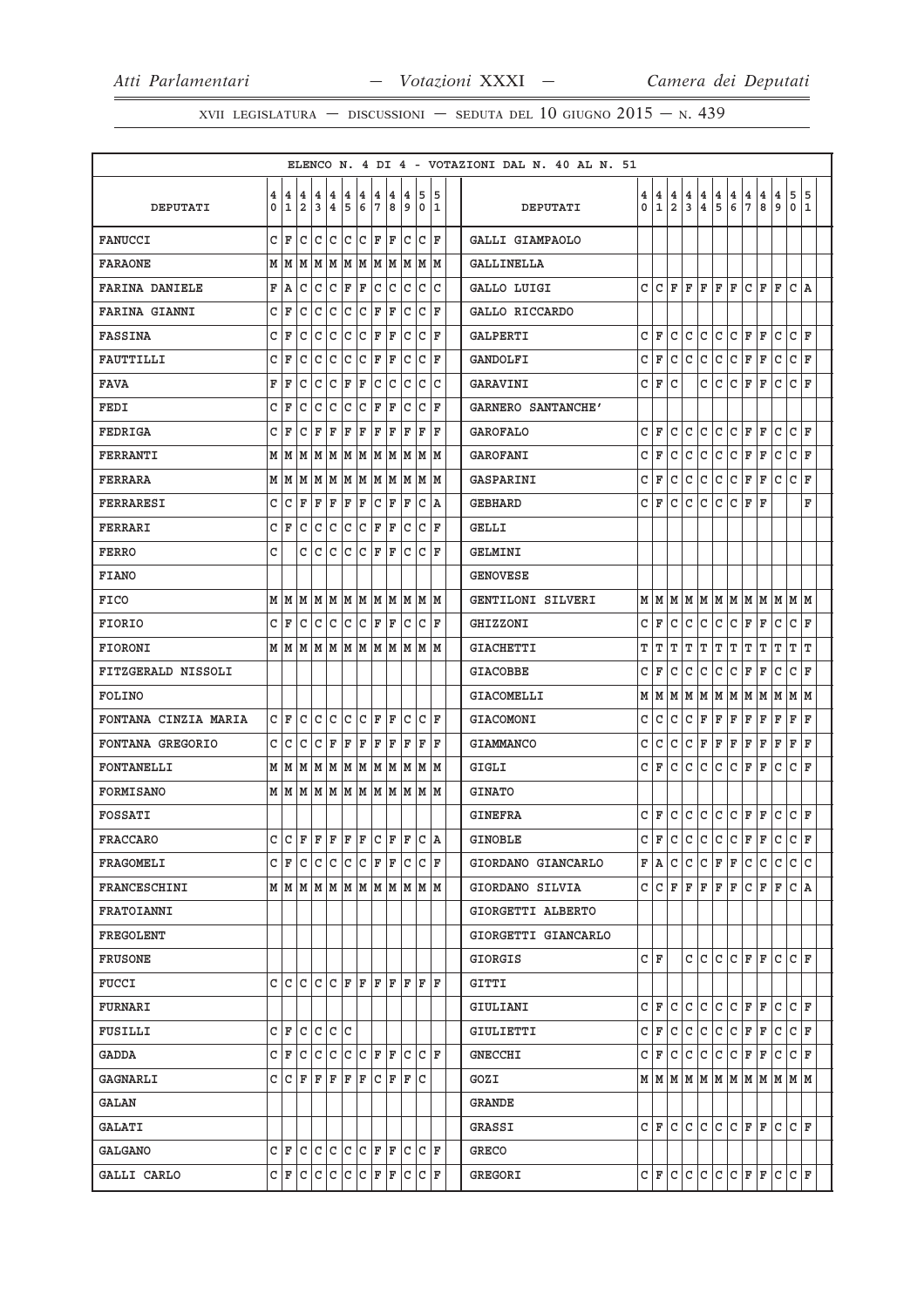|                       |   |             |                |                  |                       |     |       |       |          |      |                                                                       |                    |    | ELENCO N. 4 DI 4 - VOTAZIONI DAL N. 40 AL N. 51 |   |          |                |       |                   |       |                |         |             |     |                                       |     |
|-----------------------|---|-------------|----------------|------------------|-----------------------|-----|-------|-------|----------|------|-----------------------------------------------------------------------|--------------------|----|-------------------------------------------------|---|----------|----------------|-------|-------------------|-------|----------------|---------|-------------|-----|---------------------------------------|-----|
|                       | 4 |             | 4 4            | 4                | 4                     | 4   | 4     | 4     | 4        | 4    | 5                                                                     |                    | 5  |                                                 | 4 | <b>4</b> | 4              | 4     | 4                 | 4     | 4              | 4       | 4           | 4   | 5                                     | 5   |
| DEPUTATI              | 0 | 1           | $\overline{a}$ | 3                | 4                     | 5   | 6     | 17    | 8        | 9    | 0                                                                     |                    | 11 | DEPUTATI                                        | 0 | 1        | $\overline{a}$ | 3     | 4                 | 5     | $6\phantom{a}$ | 7       | 8           | 9   | $\mathbf 0$                           | 11  |
| <b>FANUCCI</b>        |   | C F         | C              | C C C F F        |                       |     |       |       |          |      | $ C C $ F                                                             |                    |    | GALLI GIAMPAOLO                                 |   |          |                |       |                   |       |                |         |             |     |                                       |     |
| <b>FARAONE</b>        | М | M           |                |                  |                       |     |       |       |          |      | M   M   M   M   M   M   M   M   M                                     |                    |    | GALLINELLA                                      |   |          |                |       |                   |       |                |         |             |     |                                       |     |
| <b>FARINA DANIELE</b> | F | A           | C              |                  | C C F F               |     |       |       | c c c    |      | $\overline{\mathsf{IC}}$ :                                            |                    | C  | GALLO LUIGI                                     | C | lc.      | FF             |       | F                 | ΙF    | F              | lc.     | ΙF          | ΙF  | C A                                   |     |
| FARINA GIANNI         |   | C F         | C              |                  | C C C F F             |     |       |       |          |      | C  C  F                                                               |                    |    | GALLO RICCARDO                                  |   |          |                |       |                   |       |                |         |             |     |                                       |     |
| <b>FASSINA</b>        |   | C IF        | C              | lc.              |                       |     |       |       |          | lc l |                                                                       | CF                 |    | GALPERTI                                        | c | ΙF       | C              | l C   | C                 | C     | C              | ΙF      | F           | C   | C F                                   |     |
| FAUTTILLI             |   | C F         |                | $ C C C C F F F$ |                       |     |       |       |          |      | C C F                                                                 |                    |    | GANDOLFI                                        |   | C F      |                | C C   | lc.               | l C   | $ c _F$        |         | F           | lc. | $ {\tt C}\, $ F                       |     |
| <b>FAVA</b>           | F | ΙF          | c              | lC.              | C                     | F   | F     |       | c c      | C    | C                                                                     |                    | С  | GARAVINI                                        | c | ΙF       | c              |       | С                 | C     | C              | F       | F           | С   | c                                     | ΙF  |
| FEDI                  | C | ΙF          | C              | lc.              | l C                   | lc. | C F F |       |          |      | C C F                                                                 |                    |    | GARNERO SANTANCHE'                              |   |          |                |       |                   |       |                |         |             |     |                                       |     |
| FEDRIGA               | C | F           | C              | lF.              | ΙF                    | F   |       |       |          |      | F F F F F                                                             |                    | ΙF | <b>GAROFALO</b>                                 | C | ΙF       | C              | c     | C                 | C     | C              | ΙF      | F           | C   | C                                     | ΙF  |
| FERRANTI              |   |             |                |                  |                       |     |       |       |          |      | $M$   $M$   $M$   $M$   $M$   $M$   $M$   $M$   $M$   $M$   $M$   $M$ |                    |    | GAROFANI                                        | c | l F      | С              | С     | С                 | C     | C              | F       | ΙF          | C   | C                                     | l F |
| <b>FERRARA</b>        |   |             |                |                  |                       |     |       |       |          |      |                                                                       |                    |    | GASPARINI                                       | c | F        | C              | C     | C                 | c     | C              | F       | F           | lc. | C F                                   |     |
| FERRARESI             | c | lс          | ΙF             |                  | F   F   F   C   F   F |     |       |       |          |      |                                                                       | IC IA              |    | GEBHARD                                         |   | C   F    | C              | C     | C                 | C     | C              | F       | F           |     |                                       | F   |
| FERRARI               |   | CF          |                |                  |                       |     |       |       |          |      | C  C  C  C  C  F  F  C  C  F                                          |                    |    | GELLI                                           |   |          |                |       |                   |       |                |         |             |     |                                       |     |
| <b>FERRO</b>          | C |             | С              | l C              | С                     | lc. |       |       | IC IF IF | C    |                                                                       | CF                 |    | GELMINI                                         |   |          |                |       |                   |       |                |         |             |     |                                       |     |
| <b>FIANO</b>          |   |             |                |                  |                       |     |       |       |          |      |                                                                       |                    |    | <b>GENOVESE</b>                                 |   |          |                |       |                   |       |                |         |             |     |                                       |     |
| FICO                  |   | MM          |                |                  |                       |     |       |       |          |      | M  M  M  M  M  M  M  M  M  M                                          |                    |    | GENTILONI SILVERI                               |   | MM       |                |       | M   M   M   M   M |       |                |         | lм          | lм  | M   M                                 |     |
| FIORIO                |   | CIF         |                |                  |                       |     |       |       |          |      | C  C  C  C  C  F  F  C  C  F                                          |                    |    | GHIZZONI                                        |   | CIF      | C              | С     | С                 | C     | C              | F       | ΙF          | c   | C                                     | ١F  |
| <b>FIORONI</b>        |   |             |                |                  |                       |     |       |       |          |      | $M$   $M$   $M$   $M$   $M$   $M$   $M$   $M$   $M$   $M$   $M$   $M$ |                    |    | <b>GIACHETTI</b>                                | т | т        | т              | т     | т                 | IΤ    | ΙT             | IΤ      | T           | ΙT  | т                                     | ١T  |
| FITZGERALD NISSOLI    |   |             |                |                  |                       |     |       |       |          |      |                                                                       |                    |    | <b>GIACOBBE</b>                                 | C | ΙF       | С              | С     | C                 | C     | C              | ΙF      | F           | C   | C                                     | l F |
| FOLINO                |   |             |                |                  |                       |     |       |       |          |      |                                                                       |                    |    | GIACOMELLI                                      |   | M   M    |                | M   M |                   | M   M | MM             |         | M           | M   | M  M                                  |     |
| FONTANA CINZIA MARIA  |   | C F         | C              | lC.              | l C                   | lc. |       | C F F |          | C    |                                                                       | $ C $ $\mathbf{F}$ |    | GIACOMONI                                       | С | С        | С              | C     | F                 | F     | F              | F       | F           | F   | F                                     | ΙF  |
| FONTANA GREGORIO      | c | lc          | $\mathbf{C}$   |                  |                       |     |       |       |          |      | C F F F F F F F F F                                                   |                    |    | <b>GIAMMANCO</b>                                | C | l c      | C              | l c   | F                 | F     | F              | ΙF      | F           | F   | F                                     | l F |
| FONTANELLI            |   |             |                |                  |                       |     |       |       |          |      | $M$   $M$   $M$   $M$   $M$   $M$   $M$   $M$   $M$   $M$   $M$   $M$ |                    |    | GIGLI                                           | c | F        | C              | lc.   | c                 | lc.   | c              | F       | F           | C   | $\mathtt{C}$                          | ΙF  |
| FORMISANO             |   |             |                |                  |                       |     |       |       |          |      | $M$   $M$   $M$   $M$   $M$   $M$   $M$   $M$   $M$   $M$   $M$   $M$ |                    |    | <b>GINATO</b>                                   |   |          |                |       |                   |       |                |         |             |     |                                       |     |
| FOSSATI               |   |             |                |                  |                       |     |       |       |          |      |                                                                       |                    |    | <b>GINEFRA</b>                                  | c | F        | l C            | lc.   | C                 | l C   | lc.            | F       | F           | c   | $ c $ F                               |     |
| FRACCARO              |   |             |                |                  |                       |     |       |       |          |      | $C C F F F F F C F F C A$                                             |                    |    | <b>GINOBLE</b>                                  |   |          |                |       | $C F C C C C C F$ |       |                |         | ΙF          | lc. | C   F                                 |     |
| FRAGOMELI             |   |             |                |                  |                       |     |       |       |          |      | $C   F   C   C   C   C   F   F   C   C   F$                           |                    |    | GIORDANO GIANCARLO                              |   | FA       |                |       | lcicicifif        |       |                | lc.     | lc.         | l C | lc Ic                                 |     |
| FRANCESCHINI          |   |             |                |                  |                       |     |       |       |          |      |                                                                       |                    |    | GIORDANO SILVIA                                 | c | lc       | F              | F     | F                 | ΙF    | F              | l C     | ΙF          | ΙF  | C A                                   |     |
| FRATOIANNI            |   |             |                |                  |                       |     |       |       |          |      |                                                                       |                    |    | GIORGETTI ALBERTO                               |   |          |                |       |                   |       |                |         |             |     |                                       |     |
| FREGOLENT             |   |             |                |                  |                       |     |       |       |          |      |                                                                       |                    |    | GIORGETTI GIANCARLO                             |   |          |                |       |                   |       |                |         |             |     |                                       |     |
| <b>FRUSONE</b>        |   |             |                |                  |                       |     |       |       |          |      |                                                                       |                    |    | GIORGIS                                         |   | CIF      |                |       |                   |       |                | CCCCCFF |             | lc. | IC IF                                 |     |
| FUCCI                 |   |             |                |                  |                       |     |       |       |          |      | CCCCCCCFFFFFFFF                                                       |                    |    | GITTI                                           |   |          |                |       |                   |       |                |         |             |     |                                       |     |
| <b>FURNARI</b>        |   |             |                |                  |                       |     |       |       |          |      |                                                                       |                    |    | GIULIANI                                        |   | CIF      | c              | l C   |                   | c c   | $ C $ F        |         | ΙF          | C   | C F                                   |     |
| FUSILLI               |   | c F C C C C |                |                  |                       |     |       |       |          |      |                                                                       |                    |    | GIULIETTI                                       |   |          |                |       | c F c c c c c     |       | $ C $ F        |         | IF.         | Iс  | $ C $ F                               |     |
| GADDA                 |   | CF          | lc.            |                  |                       |     |       |       |          |      | C C C F F C C F                                                       |                    |    | <b>GNECCHI</b>                                  |   | C   F    | l C            | lc.   | c                 | c     | c              | IF.     | ΙF          | lc  | C F                                   |     |
| <b>GAGNARLI</b>       |   |             |                |                  |                       |     |       |       |          |      | $C  C F F F F F C F F C$                                              |                    |    | GOZI                                            |   |          |                |       |                   |       |                |         |             |     |                                       |     |
| GALAN                 |   |             |                |                  |                       |     |       |       |          |      |                                                                       |                    |    | GRANDE                                          |   |          |                |       |                   |       |                |         |             |     |                                       |     |
| GALATI                |   |             |                |                  |                       |     |       |       |          |      |                                                                       |                    |    | GRASSI                                          |   |          |                |       |                   |       |                |         | CFCCCCCCFFC |     | IC IF                                 |     |
| GALGANO               |   |             |                |                  |                       |     |       |       |          |      | $C F C C C C F F F C C F$                                             |                    |    | GRECO                                           |   |          |                |       |                   |       |                |         |             |     |                                       |     |
| GALLI CARLO           |   |             |                |                  |                       |     |       |       |          |      | C  F  C  C  C  C  F  F  F  C  C  F                                    |                    |    | GREGORI                                         |   |          |                |       |                   |       |                |         |             |     | $C  F  C  C  C  C  F  F  F  C  C  F $ |     |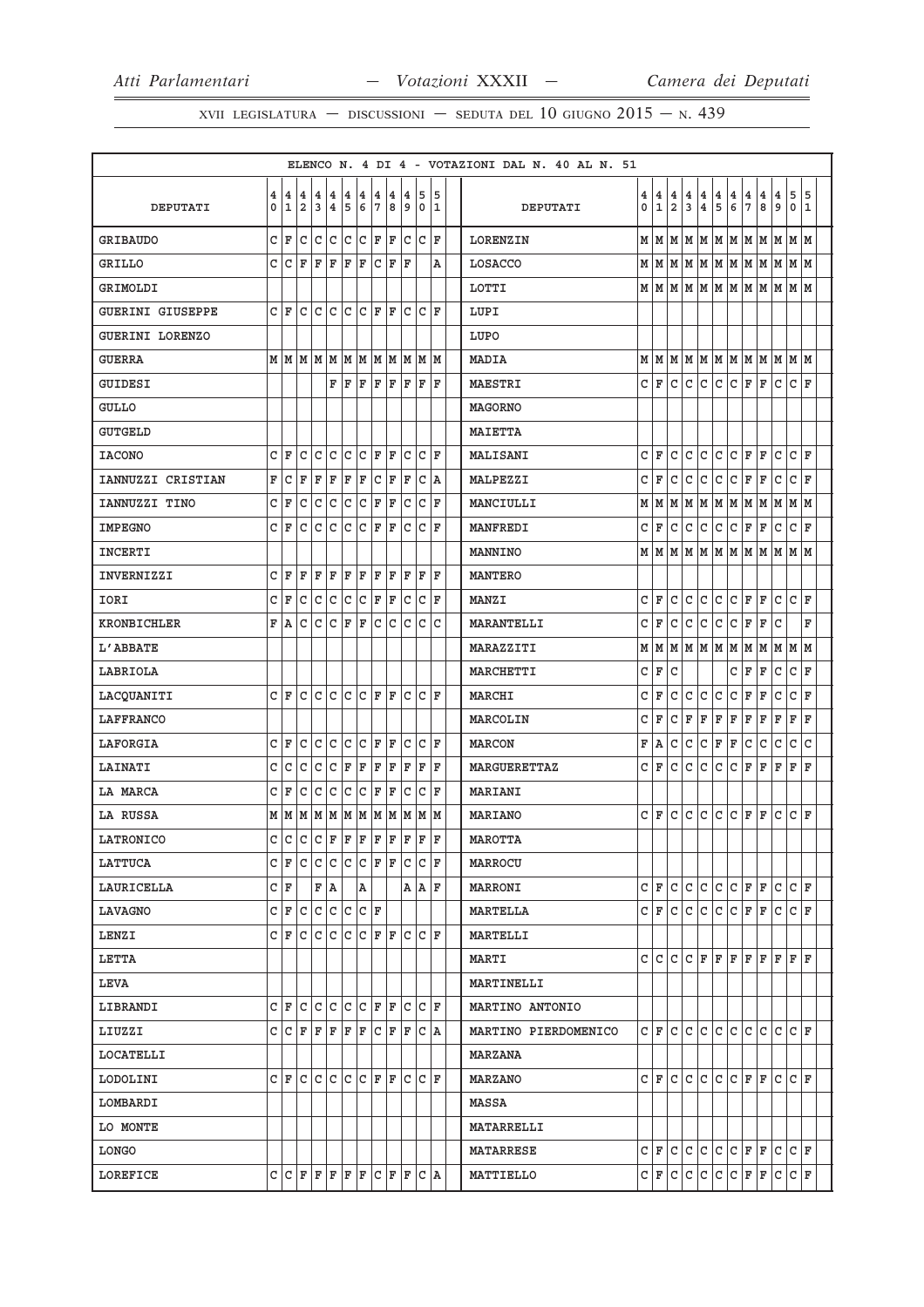|                         |   |              |                |                   |                         |                |     |                         |    |              |                                                                 |     | ELENCO N. 4 DI 4 - VOTAZIONI DAL N. 40 AL N. 51 |   |              |                |                         |                         |              |                         |     |                                       |     |                                                                 |             |
|-------------------------|---|--------------|----------------|-------------------|-------------------------|----------------|-----|-------------------------|----|--------------|-----------------------------------------------------------------|-----|-------------------------------------------------|---|--------------|----------------|-------------------------|-------------------------|--------------|-------------------------|-----|---------------------------------------|-----|-----------------------------------------------------------------|-------------|
|                         | 4 | 4            | 14             | 4                 | $\overline{\mathbf{4}}$ | $\overline{4}$ | 14  | $\overline{\mathbf{4}}$ | 14 |              | 4 5                                                             | 15  |                                                 |   | 4 4          | 4              | 4                       | $\overline{4}$          | $\vert$ 4    | $\overline{\mathbf{4}}$ | 4   | $\overline{\mathbf{4}}$               | 4   | 5                                                               | 5           |
| DEPUTATI                | 0 | $\mathbf{1}$ | $\overline{a}$ | 3                 | $\overline{4}$          | 5              | 6 ا | 17                      | 8  | و ا          | I٥                                                              | 1   | DEPUTATI                                        | 0 | $\mathbf{1}$ | $\overline{2}$ | $\overline{\mathbf{3}}$ | $\overline{\mathbf{4}}$ | 5            | 6                       | 7   | 8                                     | و ا | $\mathbf 0$                                                     | 1           |
| <b>GRIBAUDO</b>         |   | C F          | $\overline{C}$ | $ c c c c _F _F$  |                         |                |     |                         |    |              | C C F                                                           |     | LORENZIN                                        |   |              |                |                         |                         |              |                         |     |                                       |     |                                                                 |             |
| GRILLO                  | C | lc.          | F              | F                 | F                       | F              | F   | $ c _F$                 |    | F            |                                                                 | А   | LOSACCO                                         |   |              |                |                         |                         |              |                         |     |                                       |     | м м м м м м м м м м м м                                         |             |
| GRIMOLDI                |   |              |                |                   |                         |                |     |                         |    |              |                                                                 |     | LOTTI                                           |   |              |                |                         |                         |              |                         |     |                                       |     | $M$   $M$   $M$   $M$   $M$   $M$   $M$   $M$   $M$   $M$   $M$ |             |
| <b>GUERINI GIUSEPPE</b> |   | C F          |                | lc lc lc lc lr lr |                         |                |     |                         |    |              | lc Ic If                                                        |     | LUPI                                            |   |              |                |                         |                         |              |                         |     |                                       |     |                                                                 |             |
| GUERINI LORENZO         |   |              |                |                   |                         |                |     |                         |    |              |                                                                 |     | LUPO                                            |   |              |                |                         |                         |              |                         |     |                                       |     |                                                                 |             |
| <b>GUERRA</b>           |   |              |                |                   |                         |                |     |                         |    |              |                                                                 |     | <b>MADIA</b>                                    |   |              |                |                         |                         |              |                         |     |                                       |     |                                                                 |             |
| <b>GUIDESI</b>          |   |              |                |                   | F                       | F              | l F | F  F                    |    |              | F F                                                             | lF. | <b>MAESTRI</b>                                  | C | ΙF           | C              | l C                     | C                       | C            | lc.                     | l F | F                                     | C   | C F                                                             |             |
| <b>GULLO</b>            |   |              |                |                   |                         |                |     |                         |    |              |                                                                 |     | <b>MAGORNO</b>                                  |   |              |                |                         |                         |              |                         |     |                                       |     |                                                                 |             |
| <b>GUTGELD</b>          |   |              |                |                   |                         |                |     |                         |    |              |                                                                 |     | <b>MAIETTA</b>                                  |   |              |                |                         |                         |              |                         |     |                                       |     |                                                                 |             |
| <b>IACONO</b>           | c | ΙF           | C              | C                 | lc                      | c c            |     | F   F                   |    | $\mathtt{C}$ | C  F                                                            |     | MALISANI                                        | C | ΙF           | C              | C                       | C                       | $\mathsf{C}$ | c                       | F   | F                                     | C   | C                                                               | F           |
| IANNUZZI CRISTIAN       | F | l c          | F              | F                 | F                       | F F            |     | C F                     |    | F            | $ C $ A                                                         |     | MALPEZZI                                        | C | F            | lc.            | c                       | c                       | c            | C F                     |     | F                                     | lc. | $ c _{\mathbf{F}}$                                              |             |
| IANNUZZI TINO           | C | ΙF           | C              | C                 | lc.                     | lc.            | c   | F                       | F  | lc.          | $ c _F$                                                         |     | MANCIULLI                                       |   | MM           | M              | M                       |                         |              | MMMMMM                  |     |                                       | M   | M  M                                                            |             |
| <b>IMPEGNO</b>          |   | CF           | l C            | lc.               | lc.                     | lc.            | lc. | F F                     |    | lc.          | $ c _F$                                                         |     | <b>MANFREDI</b>                                 | C | F            | C              | c                       | c                       | c            | c                       | F   | F                                     | c   | $ c _{\mathbf{F}}$                                              |             |
| <b>INCERTI</b>          |   |              |                |                   |                         |                |     |                         |    |              |                                                                 |     | <b>MANNINO</b>                                  |   |              |                |                         |                         |              |                         |     | M   M   M   M   M   M   M   M   M   M |     | M M                                                             |             |
| INVERNIZZI              | C | ١F           | F              | F                 | F                       | F              | F   | F                       | F  | ΙF           | ١F                                                              | ΙF  | <b>MANTERO</b>                                  |   |              |                |                         |                         |              |                         |     |                                       |     |                                                                 |             |
| IORI                    |   | C F          | lc.            | c c               |                         | C C F F        |     |                         |    |              | $ c c $ F                                                       |     | <b>MANZI</b>                                    | C | ΙF           | C              | l C                     | C                       | lc           | C                       | F   | lF.                                   | lc. | lc IF                                                           |             |
| <b>KRONBICHLER</b>      |   | F A          | C              | lc.               | lc.                     | ΙF             | ΙF  | c c                     |    | lc.          | lc Ic                                                           |     | <b>MARANTELLI</b>                               | C | F            | C              | C                       | C                       | C            | C                       | F   | F                                     | C   |                                                                 | $\mathbf F$ |
| L'ABBATE                |   |              |                |                   |                         |                |     |                         |    |              |                                                                 |     | MARAZZITI                                       |   |              |                |                         |                         |              |                         |     |                                       |     |                                                                 |             |
| LABRIOLA                |   |              |                |                   |                         |                |     |                         |    |              |                                                                 |     | MARCHETTI                                       | C | F            | C              |                         |                         |              | C                       | F   | F                                     | lc. | C F                                                             |             |
| LACQUANITI              |   | CF           | lc.            | c c               |                         | C C F F        |     |                         |    |              | lc Ic If                                                        |     | MARCHI                                          | C | F            | C              | c                       | $\mathtt{C}$            | c            | c                       | F   | F                                     | c   | C F                                                             |             |
| LAFFRANCO               |   |              |                |                   |                         |                |     |                         |    |              |                                                                 |     | MARCOLIN                                        | C | F            | C              | F                       | F                       | F            | F                       | F   | F                                     | F   | F                                                               | ١F          |
| LAFORGIA                | C | ١F           | C              | $\mathtt{C}$      | c                       | c.             | c   | F                       | F  |              | C C F                                                           |     | <b>MARCON</b>                                   | F | A            | C              | c                       | $\mathtt{C}$            | F            | F                       | c   | C                                     | c   | $\mathsf{C}$                                                    | lc          |
| <b>LAINATI</b>          | C | lc           | с              | lc.               | lc                      | F              | F   | F F                     |    | F            | ΙF                                                              | ΙF  | <b>MARGUERETTAZ</b>                             | C | F            | lc.            | l c                     | C                       | lc           | lc.                     | F   | F                                     | F   | F                                                               | ΙF          |
| LA MARCA                | c | ΙF           | C              | lc.               | lc                      | lc.            | C F |                         | ΙF | lc.          | C  F                                                            |     | <b>MARIANI</b>                                  |   |              |                |                         |                         |              |                         |     |                                       |     |                                                                 |             |
| LA RUSSA                |   |              |                |                   |                         |                |     |                         |    |              | $M$   $M$   $M$   $M$   $M$   $M$   $M$   $M$   $M$   $M$   $M$ |     | MARIANO                                         |   | C F          | c.             | c                       | c.                      | c            | $ c _F$                 |     | lF.                                   | c   | $ c _F$                                                         |             |
| LATRONICO               |   | c c          |                |                   |                         |                |     |                         |    |              | C C F F F F F F F F F                                           |     | MAROTTA                                         |   |              |                |                         |                         |              |                         |     |                                       |     |                                                                 |             |
| LATTUCA                 | C | ΙF           | lc.            | C C C F F         |                         |                |     |                         |    |              | $ c c _F$                                                       |     | MARROCU                                         |   |              |                |                         |                         |              |                         |     |                                       |     |                                                                 |             |
| LAURICELLA              |   | C F          |                | F A               |                         |                | A   |                         |    |              | A   A   F                                                       |     | MARRONI                                         | C | l F          | C              | C                       | C                       | lc.          | C                       | F   | ΙF                                    | lc  | C F                                                             |             |
| LAVAGNO                 |   | C F          | l C            | c c               |                         | $ C C $ F      |     |                         |    |              |                                                                 |     | <b>MARTELLA</b>                                 |   | C   F        | C              | C                       | C                       | C            | C                       | ΙF  | ΙF                                    | C   | C F                                                             |             |
| LENZI                   |   |              |                |                   |                         |                |     |                         |    |              | C F C C C C F F C C F F                                         |     | MARTELLI                                        |   |              |                |                         |                         |              |                         |     |                                       |     |                                                                 |             |
| LETTA                   |   |              |                |                   |                         |                |     |                         |    |              |                                                                 |     | MARTI                                           | c | C            | C              | l C                     | l F                     | F            | F                       | F   | F                                     | F   | F F                                                             |             |
| LEVA                    |   |              |                |                   |                         |                |     |                         |    |              |                                                                 |     | MARTINELLI                                      |   |              |                |                         |                         |              |                         |     |                                       |     |                                                                 |             |
| LIBRANDI                |   | CF           | l C            |                   | C C                     | C C F F        |     |                         |    |              | IC IC IF                                                        |     | MARTINO ANTONIO                                 |   |              |                |                         |                         |              |                         |     |                                       |     |                                                                 |             |
| LIUZZI                  |   | C C F        |                | F F               |                         | F F            |     |                         |    |              | C F F C A                                                       |     | MARTINO PIERDOMENICO                            |   | CIF          | lc.            | l C                     | lc.                     | lc.          | c.                      | lc. | lc lc                                 |     | c  F                                                            |             |
| LOCATELLI               |   |              |                |                   |                         |                |     |                         |    |              |                                                                 |     | MARZANA                                         |   |              |                |                         |                         |              |                         |     |                                       |     |                                                                 |             |
| LODOLINI                |   | CF           | lc.            |                   | c c                     | C C F F        |     |                         |    |              | IC IC IF                                                        |     | MARZANO                                         |   | CIF          | C              | C                       | C                       | C            | C                       | lF. | lF.                                   | lc  | C F                                                             |             |
| LOMBARDI                |   |              |                |                   |                         |                |     |                         |    |              |                                                                 |     | MASSA                                           |   |              |                |                         |                         |              |                         |     |                                       |     |                                                                 |             |
| LO MONTE                |   |              |                |                   |                         |                |     |                         |    |              |                                                                 |     | <b>MATARRELLI</b>                               |   |              |                |                         |                         |              |                         |     |                                       |     |                                                                 |             |
| LONGO                   |   |              |                |                   |                         |                |     |                         |    |              |                                                                 |     | <b>MATARRESE</b>                                |   | C F          |                | c c                     |                         |              |                         |     | C C C F F C                           |     | IC F                                                            |             |
| LOREFICE                |   |              |                |                   |                         |                |     |                         |    |              | $C  C F F F F F C F F C A$                                      |     | MATTIELLO                                       |   | C F          | c              | c                       | c                       | c            | c                       | F   | F                                     | c   | $ {\tt C}\, $ F                                                 |             |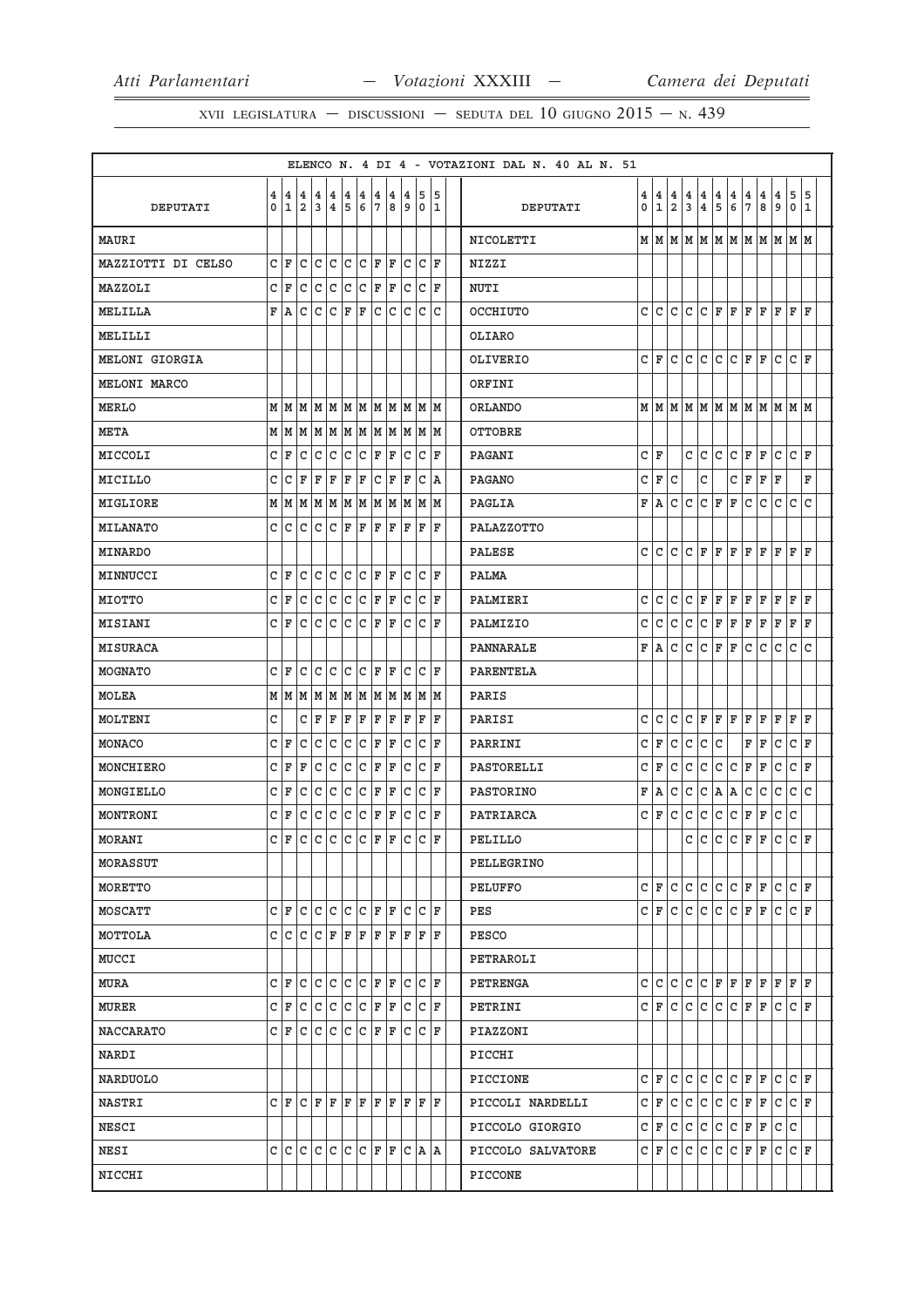| $\overline{4}$<br>4<br>5<br>15<br>4<br>4 4<br>4<br> 4<br>4<br> 4<br>4<br>14<br>4 5<br>15<br>4<br>$\overline{4}$<br>4<br>4<br>4<br>4<br>4<br>  4<br>5<br>7<br>9<br>$\mathbf{1}$<br>$\overline{2}$<br>3<br>$\overline{\mathbf{4}}$<br>5<br>6<br>7<br>8<br>و <br>0<br>$\mathbf{1}$<br>2<br>3<br>4<br>6<br>8<br>٥١<br>11<br>0<br>$\mathbf 0$<br>11<br>DEPUTATI<br>DEPUTATI<br> м м м м м м м м м м м<br>NICOLETTI<br>MAURI<br>CF<br>C<br>C C<br>lc Ic<br>  F   F<br>C<br> C  F<br>MAZZIOTTI DI CELSO<br>NIZZI<br>CF<br>C<br>lc.<br>lc.<br>lc.<br> c<br> F<br>ΙF<br>$ C C $ F<br>MAZZOLI<br><b>NUTI</b><br> c c c c c <br>F A<br>$\overline{C}$<br> C C F<br>ΙF<br>c<br>lc.<br>l c<br>CF<br>lF.<br>l F<br>l F<br>l F<br> F  F<br>OCCHIUTO<br>l C<br>MELILLA<br>MELILLI<br>OLIARO<br>C<br>C<br>C F<br>CIF<br>C<br>C<br>C<br>lF.<br>ΙF<br>lc.<br>MELONI GIORGIA<br>OLIVERIO<br>ORFINI<br>MELONI MARCO<br> м м м м м м м м м м м<br><b>MERLO</b><br>ORLANDO<br>$M$   $M$   $M$   $M$   $M$   $M$   $M$   $M$   $M$   $M$   $M$<br><b>META</b><br>OTTOBRE<br>CF<br>C<br>lc.<br>lc.<br>lc.<br>lc.<br> F  F<br>lc.<br>IC IF<br>c<br>ΙF<br>c<br>C<br>C<br>C<br>F<br>F<br>C<br>C<br>lF.<br>MICCOLI<br>PAGANI<br>c<br>lc<br>ΙF<br>ΙF<br>ΙF<br>ΙF<br> F<br> C F<br>ΙF<br> C A<br>C<br>F<br>C<br>C<br>C<br>F<br>F<br>F<br>F<br><b>PAGANO</b><br>MICILLO |
|-----------------------------------------------------------------------------------------------------------------------------------------------------------------------------------------------------------------------------------------------------------------------------------------------------------------------------------------------------------------------------------------------------------------------------------------------------------------------------------------------------------------------------------------------------------------------------------------------------------------------------------------------------------------------------------------------------------------------------------------------------------------------------------------------------------------------------------------------------------------------------------------------------------------------------------------------------------------------------------------------------------------------------------------------------------------------------------------------------------------------------------------------------------------------------------------------------------------------------------------------------------------------------------------------------------------------------------------|
|                                                                                                                                                                                                                                                                                                                                                                                                                                                                                                                                                                                                                                                                                                                                                                                                                                                                                                                                                                                                                                                                                                                                                                                                                                                                                                                                         |
|                                                                                                                                                                                                                                                                                                                                                                                                                                                                                                                                                                                                                                                                                                                                                                                                                                                                                                                                                                                                                                                                                                                                                                                                                                                                                                                                         |
|                                                                                                                                                                                                                                                                                                                                                                                                                                                                                                                                                                                                                                                                                                                                                                                                                                                                                                                                                                                                                                                                                                                                                                                                                                                                                                                                         |
|                                                                                                                                                                                                                                                                                                                                                                                                                                                                                                                                                                                                                                                                                                                                                                                                                                                                                                                                                                                                                                                                                                                                                                                                                                                                                                                                         |
|                                                                                                                                                                                                                                                                                                                                                                                                                                                                                                                                                                                                                                                                                                                                                                                                                                                                                                                                                                                                                                                                                                                                                                                                                                                                                                                                         |
|                                                                                                                                                                                                                                                                                                                                                                                                                                                                                                                                                                                                                                                                                                                                                                                                                                                                                                                                                                                                                                                                                                                                                                                                                                                                                                                                         |
|                                                                                                                                                                                                                                                                                                                                                                                                                                                                                                                                                                                                                                                                                                                                                                                                                                                                                                                                                                                                                                                                                                                                                                                                                                                                                                                                         |
|                                                                                                                                                                                                                                                                                                                                                                                                                                                                                                                                                                                                                                                                                                                                                                                                                                                                                                                                                                                                                                                                                                                                                                                                                                                                                                                                         |
|                                                                                                                                                                                                                                                                                                                                                                                                                                                                                                                                                                                                                                                                                                                                                                                                                                                                                                                                                                                                                                                                                                                                                                                                                                                                                                                                         |
|                                                                                                                                                                                                                                                                                                                                                                                                                                                                                                                                                                                                                                                                                                                                                                                                                                                                                                                                                                                                                                                                                                                                                                                                                                                                                                                                         |
|                                                                                                                                                                                                                                                                                                                                                                                                                                                                                                                                                                                                                                                                                                                                                                                                                                                                                                                                                                                                                                                                                                                                                                                                                                                                                                                                         |
|                                                                                                                                                                                                                                                                                                                                                                                                                                                                                                                                                                                                                                                                                                                                                                                                                                                                                                                                                                                                                                                                                                                                                                                                                                                                                                                                         |
|                                                                                                                                                                                                                                                                                                                                                                                                                                                                                                                                                                                                                                                                                                                                                                                                                                                                                                                                                                                                                                                                                                                                                                                                                                                                                                                                         |
| C<br>ΙF<br>F<br>C<br>C<br>C<br>$\mathsf{C}$<br>l C<br>MMMMMMMMMMMMM<br>F<br>ΙA<br>c<br>C<br>MIGLIORE<br>PAGLIA                                                                                                                                                                                                                                                                                                                                                                                                                                                                                                                                                                                                                                                                                                                                                                                                                                                                                                                                                                                                                                                                                                                                                                                                                          |
| $C C C C C F F F F F F F F F$<br>PALAZZOTTO<br>MILANATO                                                                                                                                                                                                                                                                                                                                                                                                                                                                                                                                                                                                                                                                                                                                                                                                                                                                                                                                                                                                                                                                                                                                                                                                                                                                                 |
| c<br>C<br>C<br>F<br>F<br>F<br>F<br>F<br>ΙF<br>F<br>ΙF<br><b>PALESE</b><br>С<br>MINARDO                                                                                                                                                                                                                                                                                                                                                                                                                                                                                                                                                                                                                                                                                                                                                                                                                                                                                                                                                                                                                                                                                                                                                                                                                                                  |
| CF<br>lc.<br> c c c c f F<br>$ c c _F$<br>MINNUCCI<br>PALMA                                                                                                                                                                                                                                                                                                                                                                                                                                                                                                                                                                                                                                                                                                                                                                                                                                                                                                                                                                                                                                                                                                                                                                                                                                                                             |
| C F<br>lc.<br> C C C F F<br> C  C  F<br>C<br>ГC<br>C<br>C<br>F<br>F<br>F<br>F<br>ΙF<br>F<br>F<br>l F<br>MIOTTO<br>PALMIERI                                                                                                                                                                                                                                                                                                                                                                                                                                                                                                                                                                                                                                                                                                                                                                                                                                                                                                                                                                                                                                                                                                                                                                                                              |
| CF<br>lc.<br>lc.<br>lc.<br> C F F<br>IC IC IF<br>C<br>ГC<br>c<br>C<br>F<br>F<br>F<br>F<br>F<br>F<br>l F<br>C<br>PALMIZIO<br>С<br><b>MISIANI</b>                                                                                                                                                                                                                                                                                                                                                                                                                                                                                                                                                                                                                                                                                                                                                                                                                                                                                                                                                                                                                                                                                                                                                                                         |
| C<br>C<br>ΙF<br>F<br>l c<br>C<br>lc.<br>lc lc<br>F<br>c<br><b>MISURACA</b><br>PANNARALE<br>١A                                                                                                                                                                                                                                                                                                                                                                                                                                                                                                                                                                                                                                                                                                                                                                                                                                                                                                                                                                                                                                                                                                                                                                                                                                           |
| IC IC IC IF IF<br>CF<br>c<br>IC IC IF<br>MOGNATO<br>PARENTELA                                                                                                                                                                                                                                                                                                                                                                                                                                                                                                                                                                                                                                                                                                                                                                                                                                                                                                                                                                                                                                                                                                                                                                                                                                                                           |
| MOLEA<br>PARIS                                                                                                                                                                                                                                                                                                                                                                                                                                                                                                                                                                                                                                                                                                                                                                                                                                                                                                                                                                                                                                                                                                                                                                                                                                                                                                                          |
| C<br>F<br>ΙF<br>ΙF<br> F<br> F<br>F<br>ΙF<br>$\mathbf F$<br>C<br>F<br>ΙF<br>ΙF<br>ΙF<br>C<br>C<br>C<br>C<br>F<br>F<br>F<br>ΙF<br>ΙF<br>MOLTENI<br>PARISI                                                                                                                                                                                                                                                                                                                                                                                                                                                                                                                                                                                                                                                                                                                                                                                                                                                                                                                                                                                                                                                                                                                                                                                |
| $ c c _F _F$<br>$\mathtt{C}$<br>$ c _{\mathbf{F}}$<br>CF<br>lc<br>C<br>lc<br>$ c c _F$<br>C<br>F<br>C<br>$\mathtt{C}$<br>$\mathsf{C}$<br>F<br>F<br>lc.<br>MONACO<br>PARRINI                                                                                                                                                                                                                                                                                                                                                                                                                                                                                                                                                                                                                                                                                                                                                                                                                                                                                                                                                                                                                                                                                                                                                             |
| lc<br> c<br> c <br>C<br>C<br>$\mathtt{C}$<br>c<br>ΙF<br>C<br>F<br> F<br>lc.<br>$ {\tt C}\> {\tt F}\>$<br>F<br>C<br>$\mathtt{C}$<br>C<br>l c<br>F<br>F<br>C<br>lF.<br>F<br>PASTORELLI<br>MONCHIERO                                                                                                                                                                                                                                                                                                                                                                                                                                                                                                                                                                                                                                                                                                                                                                                                                                                                                                                                                                                                                                                                                                                                       |
| CF<br>lc.<br>lc.<br>lc.<br>$ C $ F<br>ΙF<br>C<br> C  F<br>F<br>C<br>C<br>Α<br>C<br>C<br>C<br>C<br>lc.<br>C<br><b>PASTORINO</b><br>١A<br>С<br>Α<br>MONGIELLO                                                                                                                                                                                                                                                                                                                                                                                                                                                                                                                                                                                                                                                                                                                                                                                                                                                                                                                                                                                                                                                                                                                                                                             |
| $\mathtt{C}$<br>$\mathtt{C}$<br> c<br> c<br>F<br>lc.<br>lc.<br>CF<br>С<br> C C C F F<br> C  C  F<br>c<br>ΙF<br>C<br>F<br>MONTRONI<br>PATRIARCA                                                                                                                                                                                                                                                                                                                                                                                                                                                                                                                                                                                                                                                                                                                                                                                                                                                                                                                                                                                                                                                                                                                                                                                          |
| c c c c c F F<br> c<br>lF.<br>lc IF<br>C F<br> C C F<br>C<br>lc.<br>C<br>l F<br>lc.<br>MORANI<br>PELILLO                                                                                                                                                                                                                                                                                                                                                                                                                                                                                                                                                                                                                                                                                                                                                                                                                                                                                                                                                                                                                                                                                                                                                                                                                                |
| MORASSUT<br>PELLEGRINO                                                                                                                                                                                                                                                                                                                                                                                                                                                                                                                                                                                                                                                                                                                                                                                                                                                                                                                                                                                                                                                                                                                                                                                                                                                                                                                  |
| C<br>c<br>F<br>c<br>с<br>С<br>l C<br>F<br>F<br>C<br>CF<br><b>MORETTO</b><br>PELUFFO                                                                                                                                                                                                                                                                                                                                                                                                                                                                                                                                                                                                                                                                                                                                                                                                                                                                                                                                                                                                                                                                                                                                                                                                                                                     |
| C C F F<br>lc Ic If<br>l c<br>$\mathtt{C}$<br> c<br>c.<br>F<br>$ C $ F<br>C F<br>lc.<br> c c<br>C   F<br>C<br>ΙF<br>C<br>PES<br><b>MOSCATT</b>                                                                                                                                                                                                                                                                                                                                                                                                                                                                                                                                                                                                                                                                                                                                                                                                                                                                                                                                                                                                                                                                                                                                                                                          |
| $C C C C F F F F F F F F F F$<br>PESCO<br>MOTTOLA                                                                                                                                                                                                                                                                                                                                                                                                                                                                                                                                                                                                                                                                                                                                                                                                                                                                                                                                                                                                                                                                                                                                                                                                                                                                                       |
| MUCCI<br>PETRAROLI                                                                                                                                                                                                                                                                                                                                                                                                                                                                                                                                                                                                                                                                                                                                                                                                                                                                                                                                                                                                                                                                                                                                                                                                                                                                                                                      |
| C C C F F<br>lc Ic If<br>$ c _F$<br>F<br>F<br>lF.<br>l F<br>F F<br>CF<br>lc.<br>c<br>lc.<br>lc.<br>C<br>MURA<br>PETRENGA                                                                                                                                                                                                                                                                                                                                                                                                                                                                                                                                                                                                                                                                                                                                                                                                                                                                                                                                                                                                                                                                                                                                                                                                                |
| C F<br>lc.<br>$\overline{C}$<br>lc.<br> C C F F<br> C C F<br>C<br>ΙF<br>C F<br>CIF<br>С<br>C<br>C<br>C<br>F<br>C<br>MURER<br>PETRINI                                                                                                                                                                                                                                                                                                                                                                                                                                                                                                                                                                                                                                                                                                                                                                                                                                                                                                                                                                                                                                                                                                                                                                                                    |
| $ c c _F _F$<br> C C F<br>C F C<br>lc.<br>l C<br><b>NACCARATO</b><br>PIAZZONI                                                                                                                                                                                                                                                                                                                                                                                                                                                                                                                                                                                                                                                                                                                                                                                                                                                                                                                                                                                                                                                                                                                                                                                                                                                           |
| NARDI<br>PICCHI                                                                                                                                                                                                                                                                                                                                                                                                                                                                                                                                                                                                                                                                                                                                                                                                                                                                                                                                                                                                                                                                                                                                                                                                                                                                                                                         |
| C<br>C<br>C<br>C<br>C<br>ΙF<br>C F<br>c<br>ΙF<br>F<br>C<br>NARDUOLO<br>PICCIONE                                                                                                                                                                                                                                                                                                                                                                                                                                                                                                                                                                                                                                                                                                                                                                                                                                                                                                                                                                                                                                                                                                                                                                                                                                                         |
| C<br>F<br>C<br>l C<br>l C<br>l c<br> c<br>ΙF<br>F<br>C F<br><b>NASTRI</b><br>lC.<br>PICCOLI NARDELLI                                                                                                                                                                                                                                                                                                                                                                                                                                                                                                                                                                                                                                                                                                                                                                                                                                                                                                                                                                                                                                                                                                                                                                                                                                    |
| C<br>F<br>C<br>$\mathtt{C}$<br>C<br>C<br>c<br>F<br>F<br>C<br>C<br>NESCI<br>PICCOLO GIORGIO                                                                                                                                                                                                                                                                                                                                                                                                                                                                                                                                                                                                                                                                                                                                                                                                                                                                                                                                                                                                                                                                                                                                                                                                                                              |
| CCCCCCCCCFF<br>C∣F<br>lc.<br>lc.<br>lc.<br>F<br> F<br>lc.<br>$ {\tt C} \,  $ F<br>IC IA IA<br>C<br>C<br>NESI<br>PICCOLO SALVATORE                                                                                                                                                                                                                                                                                                                                                                                                                                                                                                                                                                                                                                                                                                                                                                                                                                                                                                                                                                                                                                                                                                                                                                                                       |
| NICCHI<br>PICCONE                                                                                                                                                                                                                                                                                                                                                                                                                                                                                                                                                                                                                                                                                                                                                                                                                                                                                                                                                                                                                                                                                                                                                                                                                                                                                                                       |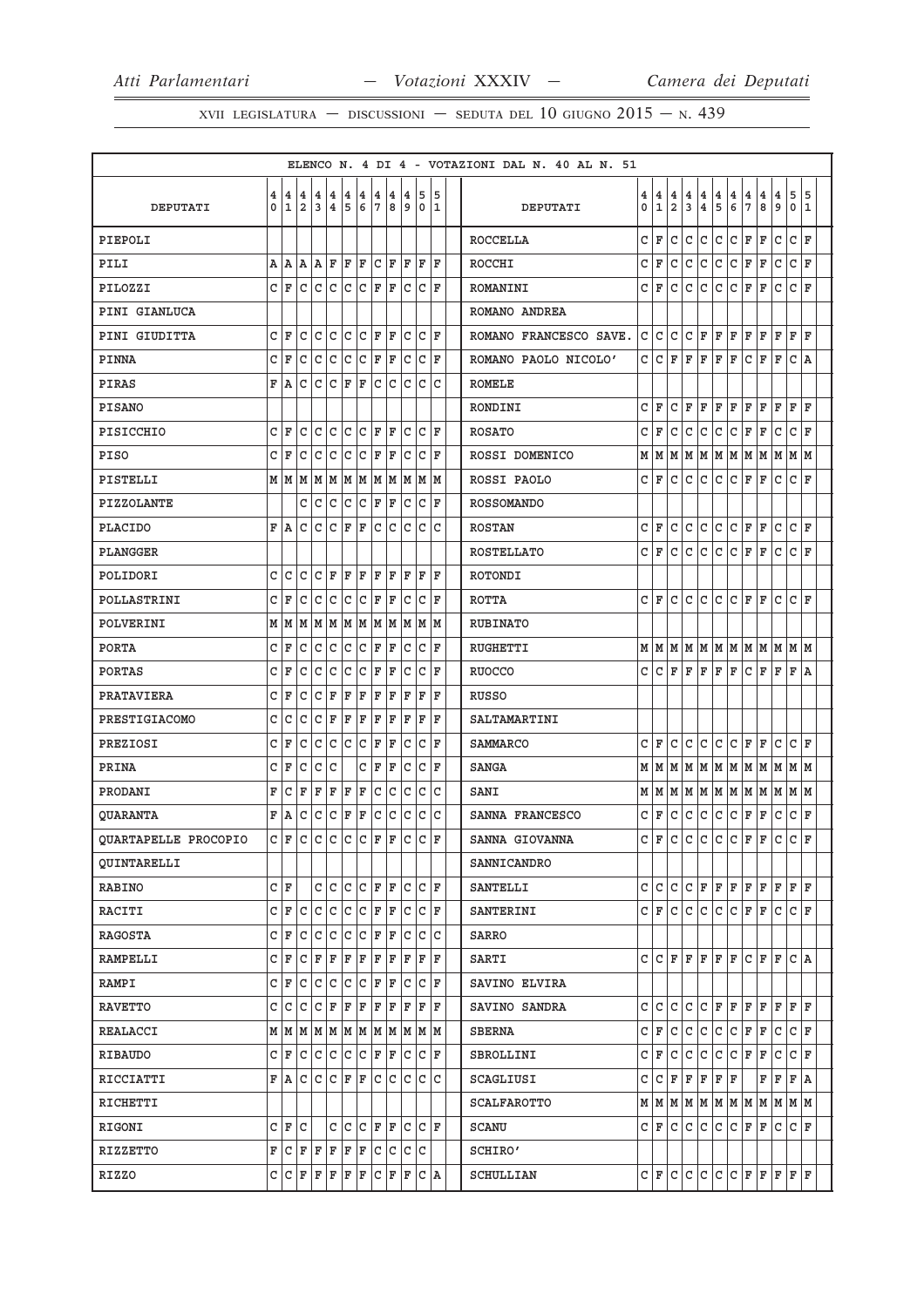|                      |              |        |                     |        |                       |              |         |         |             |              |                                                                       |       |                  | ELENCO N. 4 DI 4 - VOTAZIONI DAL N. 40 AL N. 51 |        |        |                     |              |              |              |                  |                     |        |                                                                       |                 |        |
|----------------------|--------------|--------|---------------------|--------|-----------------------|--------------|---------|---------|-------------|--------------|-----------------------------------------------------------------------|-------|------------------|-------------------------------------------------|--------|--------|---------------------|--------------|--------------|--------------|------------------|---------------------|--------|-----------------------------------------------------------------------|-----------------|--------|
| DEPUTATI             | 4<br>0       | 4<br>1 | 4<br>$\overline{a}$ | 4<br>3 | 4<br>4                | 4<br>5       | 4<br>6  | 4<br>7  | 4<br>8      | 4<br>9       | 5<br>0                                                                |       | 5<br>$\mathbf 1$ | DEPUTATI                                        | 4<br>0 | 4<br>1 | 4<br>$\overline{2}$ | 4<br>3       | 4<br>4       | 4<br>5       | 4<br>6           | 4<br>$\overline{7}$ | 4<br>8 | 4<br>9                                                                | 5<br>0          | 5<br>1 |
| PIEPOLI              |              |        |                     |        |                       |              |         |         |             |              |                                                                       |       |                  | <b>ROCCELLA</b>                                 | C      | F      | С                   | c            | C            | C            | С                | F                   | F      | C                                                                     | $\mathsf{C}$    | ΙF     |
| PILI                 |              | A   A  | lA.                 |        | AF                    |              | $F$ $F$ |         | C F         | F            | F                                                                     |       | F                | ROCCHI                                          | C      | F      | C                   | C            | C            | $\mathtt{C}$ | c                | F                   | F      | C                                                                     | $\mathtt{C}$    | ΙF     |
| PILOZZI              |              | C F    |                     |        | c c c c               |              |         |         | C F F       | c            |                                                                       | C F   |                  | ROMANINI                                        | C      | F      | C                   | C            | $\mathsf{C}$ | C            | $\mathsf C$      | ΙF                  | F      | C                                                                     | $\mathsf{C}$    | ΙF     |
| PINI GIANLUCA        |              |        |                     |        |                       |              |         |         |             |              |                                                                       |       |                  | ROMANO ANDREA                                   |        |        |                     |              |              |              |                  |                     |        |                                                                       |                 |        |
| PINI GIUDITTA        |              | C F    | c                   |        | C C                   |              |         |         | C C F F     | C            | C                                                                     |       | F                | ROMANO FRANCESCO SAVE.                          | C      | C      | C                   | C            | F            | F            | F                | F                   | F      | ΙF                                                                    | F               | ΙF     |
| <b>PINNA</b>         |              | C F    | С                   |        | C C C F F             |              |         |         |             |              | C  C  F                                                               |       |                  | ROMANO PAOLO NICOLO'                            | C      | C      | F                   | F            | F            | F            | F                | C                   | F      | F                                                                     | C A             |        |
| PIRAS                |              | F A    | С                   | C      |                       | C F          | F       | c       | С           | C            | C                                                                     |       | c                | ROMELE                                          |        |        |                     |              |              |              |                  |                     |        |                                                                       |                 |        |
| <b>PISANO</b>        |              |        |                     |        |                       |              |         |         |             |              |                                                                       |       |                  | RONDINI                                         | C      | F      | С                   | F            | F            | F            | F                | F                   | F      | F                                                                     | F               | ΙF     |
| PISICCHIO            | C            | F      | C                   | C      | С                     | $\mathsf{C}$ | C       | F       | ΙF          | C            | c                                                                     |       | F                | <b>ROSATO</b>                                   | C      | F      | C                   | C            | C            | C            | l C              | F                   | F      | C                                                                     | $\mathsf{C}$    | ΙF     |
| <b>PISO</b>          |              | C F    | С                   | С      | С                     | С            |         |         | $C$ $F$ $F$ | C            | С                                                                     |       | F                | ROSSI DOMENICO                                  |        | MIM    |                     | M   M        |              |              | M  M  M  M  M  M |                     |        |                                                                       | M  M            |        |
| PISTELLI             |              |        |                     |        |                       |              |         |         |             |              | $M$   $M$   $M$   $M$   $M$   $M$   $M$   $M$   $M$   $M$   $M$   $M$ |       |                  | ROSSI PAOLO                                     | С      | F      | C                   | C            | C            | C            | С                | F                   | F      | C                                                                     | C               | ΙF     |
| <b>PIZZOLANTE</b>    |              |        | c                   | C      | c                     | c            |         |         | $C$ $F$ $F$ | С            | C                                                                     |       | F                | <b>ROSSOMANDO</b>                               |        |        |                     |              |              |              |                  |                     |        |                                                                       |                 |        |
| <b>PLACIDO</b>       |              | F A    | С                   |        | C C F F               |              |         |         | c c c       |              |                                                                       | C C   |                  | <b>ROSTAN</b>                                   | C      | F      | C                   | C            | lc.          | C            | lc.              | F                   | F      | C                                                                     | $ {\tt C}\, $ F |        |
| PLANGGER             |              |        |                     |        |                       |              |         |         |             |              |                                                                       |       |                  | <b>ROSTELLATO</b>                               | С      | F      | c                   | C            | C            | C            | С                | F                   | F      | C                                                                     | C               | ΙF     |
| POLIDORI             | c            | C      | C                   |        | C F                   |              | F F     |         | F F         | F            | $\mathbf{F}$                                                          |       | F                | ROTONDI                                         |        |        |                     |              |              |              |                  |                     |        |                                                                       |                 |        |
| POLLASTRINI          |              | C F    | C                   | C      | C                     | c            |         |         | C F F       | С            | С                                                                     |       | F                | <b>ROTTA</b>                                    | C      | F      | C                   | C            | C            | C            | C                | F                   | F      | C                                                                     | C               | ΙF     |
| POLVERINI            |              | MM     |                     |        |                       |              |         |         |             |              | M  M  M  M  M  M  M  M  M  M                                          |       |                  | <b>RUBINATO</b>                                 |        |        |                     |              |              |              |                  |                     |        |                                                                       |                 |        |
| <b>PORTA</b>         | C.           | F      | C                   | c      | C                     | $\mathsf{C}$ |         |         | C F F       | С            |                                                                       | C F   |                  | <b>RUGHETTI</b>                                 |        |        |                     |              |              |              |                  |                     |        |                                                                       |                 |        |
| <b>PORTAS</b>        | C            | F      | С                   | С      | С                     | C            |         | C F     | F           | С            | c                                                                     |       | F                | <b>RUOCCO</b>                                   | C      | C      | F                   | F            | F            | F            | F                | C                   | F      | ΙF                                                                    | F               | ١A     |
| PRATAVIERA           |              | C F    | с                   |        | C F                   | F            | F       |         | F   F       | F            | F                                                                     |       | F                | RUSSO                                           |        |        |                     |              |              |              |                  |                     |        |                                                                       |                 |        |
| PRESTIGIACOMO        | С            | C      | C                   | C      | F                     | F            | F       | F       | F           | F            | F                                                                     |       | F                | SALTAMARTINI                                    |        |        |                     |              |              |              |                  |                     |        |                                                                       |                 |        |
| PREZIOSI             | С            | F      | C                   | С      | C                     | c.           | C       | F       | F           | С            | С                                                                     |       | F                | <b>SAMMARCO</b>                                 | C      | F      | C                   | c            | C            | C            | lc.              | F                   | F      | C                                                                     | $\mathtt{C}$    | ΙF     |
| PRINA                | C            | F      | C                   | С      | C                     |              | С       | F       | F           | C            | С                                                                     |       | F                | <b>SANGA</b>                                    | М      | M      | M                   |              |              |              | M M M M M M M    |                     |        |                                                                       | M M             |        |
| PRODANI              | F            | С      | F                   | F      | F                     | F            | F       | С       | С           | С            | С                                                                     |       | С                | SANI                                            |        | M   M  |                     |              |              |              |                  |                     |        | M   M   M   M   M   M   M   M   M                                     |                 |        |
| QUARANTA             |              | F A    | С                   | С      | c                     | F            | F       | C       | С           | c            | С                                                                     |       | c                | SANNA FRANCESCO                                 | C      | F      | C                   | c            | С            | C            | l c              | F                   | F      | C                                                                     | C               | F      |
| QUARTAPELLE PROCOPIO |              | C F    | С                   | lc.    |                       | $ c\, c\, $  |         | $ C $ F | F           | С            |                                                                       | CF    |                  | SANNA GIOVANNA                                  | C      | F      | C                   | C            | lc.          | lc.          | lc.              | ΙF                  | F      | C                                                                     | $\mathsf{C}$    | ΙF     |
| <b>QUINTARELLI</b>   |              |        |                     |        |                       |              |         |         |             |              |                                                                       |       |                  | SANNICANDRO                                     |        |        |                     |              |              |              |                  |                     |        |                                                                       |                 |        |
| RABINO               |              | CF     |                     | c      | c                     |              |         |         | C C F F     | C            |                                                                       | CF    |                  | <b>SANTELLI</b>                                 | C      | ГC     | C                   | C            | F            | F            | F                | F                   | F      | F                                                                     | F               | ΙF     |
| RACITI               |              | C F    | C                   |        | c c c c F F           |              |         |         |             | c            | С                                                                     |       | F                | <b>SANTERINI</b>                                | C      | ΙF     | lc.                 | $\mathtt{C}$ | c            | c            | c                | F                   | F      | lc                                                                    | C F             |        |
| RAGOSTA              |              | C F    | С                   | c      |                       |              |         |         | C C C F F   | C            | C                                                                     |       | C                | SARRO                                           |        |        |                     |              |              |              |                  |                     |        |                                                                       |                 |        |
| RAMPELLI             |              | C F    |                     |        | $C F F F F F F F F $  |              |         |         |             |              | F                                                                     |       | F                | SARTI                                           | C      | ГC     | F                   | ΙF           | F            | l F          | lF.              | l C                 | F      | ΙF                                                                    | C A             |        |
| RAMPI                |              | C F    |                     |        | $C  C  C  C  C  F  F$ |              |         |         |             | C            |                                                                       | CF    |                  | SAVINO ELVIRA                                   |        |        |                     |              |              |              |                  |                     |        |                                                                       |                 |        |
| <b>RAVETTO</b>       |              | C C    | С                   |        | C   F   F   F   F   F |              |         |         |             |              | FI                                                                    |       | F                | SAVINO SANDRA                                   | C      | ГC     | C                   | C            | C            | ΙF           | F                | F                   | F      | F                                                                     | F               | l F    |
| REALACCI             |              |        |                     |        |                       |              |         |         |             |              | $M$   $M$   $M$   $M$   $M$   $M$   $M$   $M$   $M$   $M$   $M$   $M$ |       |                  | <b>SBERNA</b>                                   | C      | F      | lc.                 | lc.          | lc.          | c            | $ c $ F          |                     | F      | lc.                                                                   | $ {\tt C}\, $ F |        |
| <b>RIBAUDO</b>       |              | C F    |                     |        | C C C C F F C         |              |         |         |             |              |                                                                       | C F   |                  | SBROLLINI                                       | C      | F      | C                   | c            | C            | C            | l C              | F                   | F      | C                                                                     | C               | ΙF     |
| RICCIATTI            |              | F A    |                     |        | c c c f F c c         |              |         |         |             | $\mathsf{C}$ | $\mathsf{C}$                                                          |       | C                | SCAGLIUSI                                       | C      | C      | F                   | F            | F            | ΙF           | F                |                     | F      | ΙF                                                                    | F A             |        |
| RICHETTI             |              |        |                     |        |                       |              |         |         |             |              |                                                                       |       |                  | <b>SCALFAROTTO</b>                              |        |        |                     |              |              |              |                  |                     |        | $M$   $M$   $M$   $M$   $M$   $M$   $M$   $M$   $M$   $M$   $M$   $M$ |                 |        |
| RIGONI               |              | C F    | С                   |        |                       |              |         |         | C C C F F   |              | C C F                                                                 |       |                  | SCANU                                           |        | CIF    | C                   | C            | C            | C            | lc.              | F                   | F      | C                                                                     | C F             |        |
| RIZZETTO             | $\mathbf{F}$ |        | C F F F F F         |        |                       |              |         |         |             |              | c c c c                                                               |       |                  | SCHIRO'                                         |        |        |                     |              |              |              |                  |                     |        |                                                                       |                 |        |
| RIZZO                |              |        | $C  C F F F F F F$  |        |                       |              |         |         | C F F       |              |                                                                       | C   A |                  | SCHULLIAN                                       |        | C   F  | c.                  | c            |              |              | $ c c c _F$      |                     | F      | F                                                                     | F               | F      |